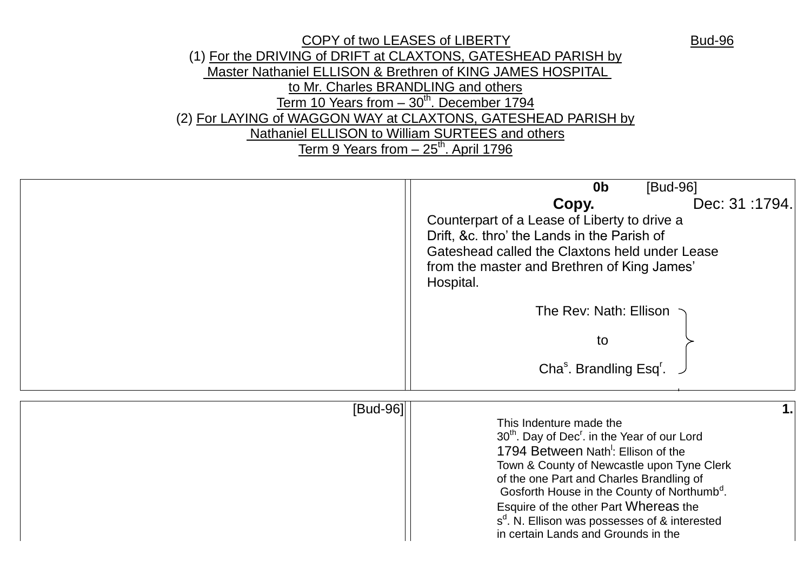

|          | [Bud-96]<br>0 <sub>b</sub>                                                                                              |
|----------|-------------------------------------------------------------------------------------------------------------------------|
|          | Dec: 31:1794.<br>Copy.                                                                                                  |
|          | Counterpart of a Lease of Liberty to drive a                                                                            |
|          | Drift, &c. thro' the Lands in the Parish of                                                                             |
|          | Gateshead called the Claxtons held under Lease                                                                          |
|          | from the master and Brethren of King James'<br>Hospital.                                                                |
|          | The Rev: Nath: Ellison                                                                                                  |
|          | to                                                                                                                      |
|          | Cha <sup>s</sup> . Brandling Esq <sup>r</sup> .                                                                         |
| [Bud-96] |                                                                                                                         |
|          | This Indenture made the                                                                                                 |
|          | 30 <sup>th</sup> . Day of Dec <sup>r</sup> . in the Year of our Lord<br>1794 Between Nath <sup>1</sup> : Ellison of the |
|          | Town & County of Newcastle upon Tyne Clerk                                                                              |
|          | of the one Part and Charles Brandling of                                                                                |
|          | Gosforth House in the County of Northumb <sup>d</sup> .                                                                 |
|          | Esquire of the other Part Whereas the<br>s <sup>d</sup> . N. Ellison was possesses of & interested                      |
|          | in certain Lands and Grounds in the                                                                                     |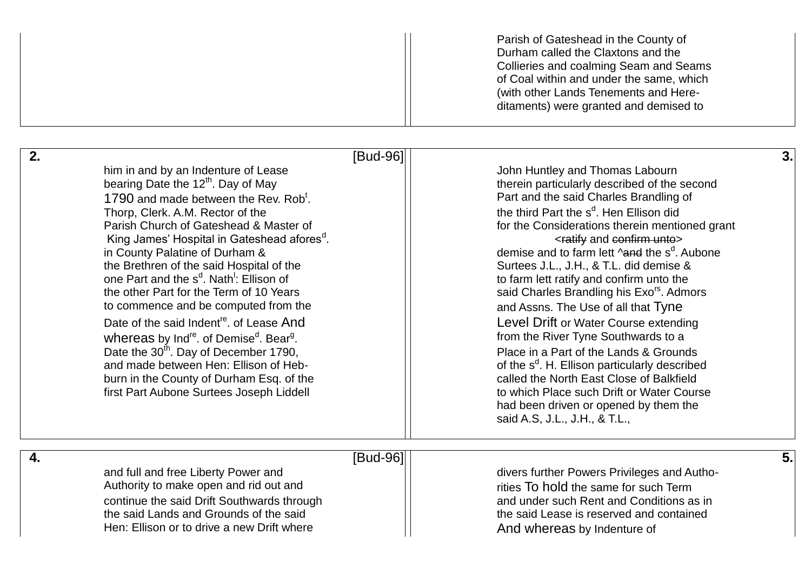|    |                                                                                                                                                                                                                                                                                                                                                                                                                                                                                                                                                                                                                                                                                                                                                                                                                                                                   | Parish of Gateshead in the County of<br>Durham called the Claxtons and the<br>Collieries and coalming Seam and Seams<br>of Coal within and under the same, which<br>(with other Lands Tenements and Here-<br>ditaments) were granted and demised to                                                                                                                                                                                                                                                                                                                                                                                                                                                                                                                                                                                                                                                                                |
|----|-------------------------------------------------------------------------------------------------------------------------------------------------------------------------------------------------------------------------------------------------------------------------------------------------------------------------------------------------------------------------------------------------------------------------------------------------------------------------------------------------------------------------------------------------------------------------------------------------------------------------------------------------------------------------------------------------------------------------------------------------------------------------------------------------------------------------------------------------------------------|------------------------------------------------------------------------------------------------------------------------------------------------------------------------------------------------------------------------------------------------------------------------------------------------------------------------------------------------------------------------------------------------------------------------------------------------------------------------------------------------------------------------------------------------------------------------------------------------------------------------------------------------------------------------------------------------------------------------------------------------------------------------------------------------------------------------------------------------------------------------------------------------------------------------------------|
| 2. | [Bud-96]<br>him in and by an Indenture of Lease<br>bearing Date the 12 <sup>th</sup> . Day of May<br>1790 and made between the Rev. Rob <sup>t</sup> .<br>Thorp, Clerk. A.M. Rector of the<br>Parish Church of Gateshead & Master of<br>King James' Hospital in Gateshead afores <sup>d</sup> .<br>in County Palatine of Durham &<br>the Brethren of the said Hospital of the<br>one Part and the s <sup>d</sup> . Nath <sup>1</sup> : Ellison of<br>the other Part for the Term of 10 Years<br>to commence and be computed from the<br>Date of the said Indent <sup>re</sup> . of Lease And<br>whereas by Ind <sup>re</sup> . of Demise <sup>d</sup> . Bear <sup>g</sup> .<br>Date the 30 <sup>th</sup> . Day of December 1790,<br>and made between Hen: Ellison of Heb-<br>burn in the County of Durham Esq. of the<br>first Part Aubone Surtees Joseph Liddell | 3.<br>John Huntley and Thomas Labourn<br>therein particularly described of the second<br>Part and the said Charles Brandling of<br>the third Part the s <sup>d</sup> . Hen Ellison did<br>for the Considerations therein mentioned grant<br><ratify and="" confirm="" unto=""><br/>demise and to farm lett <b>hand</b> the s<sup>d</sup>. Aubone<br/>Surtees J.L., J.H., &amp; T.L. did demise &amp;<br/>to farm lett ratify and confirm unto the<br/>said Charles Brandling his Exo<sup>rs</sup>. Admors<br/>and Assns. The Use of all that Tyne<br/>Level Drift or Water Course extending<br/>from the River Tyne Southwards to a<br/>Place in a Part of the Lands &amp; Grounds<br/>of the s<sup>d</sup>. H. Ellison particularly described<br/>called the North East Close of Balkfield<br/>to which Place such Drift or Water Course<br/>had been driven or opened by them the<br/>said A.S, J.L., J.H., &amp; T.L.,</ratify> |
| 4. | [Bud-96]<br>and full and free Liberty Power and<br>Authority to make open and rid out and<br>continue the said Drift Southwards through<br>the said Lands and Grounds of the said<br>Hen: Ellison or to drive a new Drift where                                                                                                                                                                                                                                                                                                                                                                                                                                                                                                                                                                                                                                   | 5.<br>divers further Powers Privileges and Autho-<br>rities To hold the same for such Term<br>and under such Rent and Conditions as in<br>the said Lease is reserved and contained<br>And whereas by Indenture of                                                                                                                                                                                                                                                                                                                                                                                                                                                                                                                                                                                                                                                                                                                  |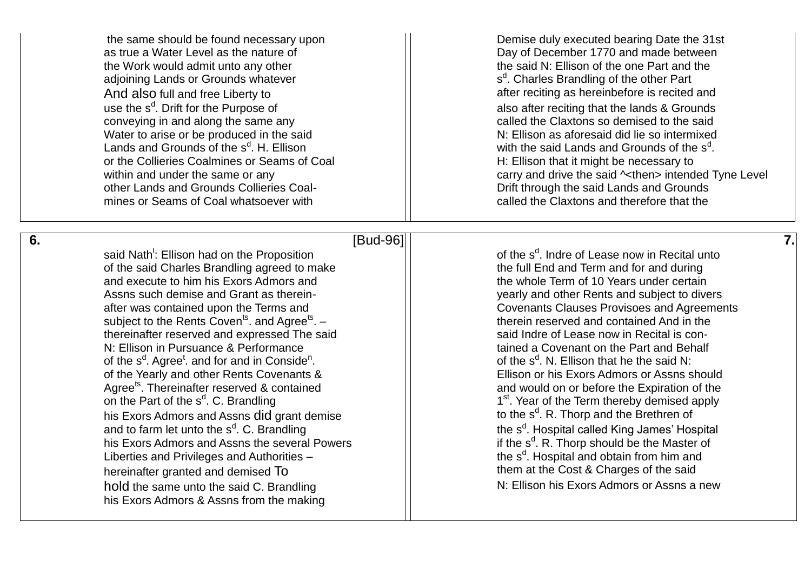as true a Water Level as the nature of **Day of December 1770** and made between the Work would admit unto any other the said N: Ellison of the one Part and the adjoining Lands or Grounds whatever And also full and free Liberty to a contract and after reciting as hereinbefore is recited and use the s<sup>d</sup> conveying in and along the same any example of the Claxtons so demised to the said Water to arise or be produced in the said  $\blacksquare$  N: Ellison as aforesaid did lie so intermixed Lands and Grounds of the s<sup>d</sup> or the Collieries Coalmines or Seams of Coal **H**: Ellison that it might be necessary to other Lands and Grounds Collieries Coal mines or Seams of Coal whatsoever with example of called the Claxtons and therefore that the

**6**

**.** [Bud -96] **7.** 

said Nath<sup>!</sup>: Ellison had on the Proposition  $\overline{\phantom{a}}$  |  $\overline{\phantom{a}}$  of the s of the said Charles Brandling agreed to make the full End and Term and for and during and execute to him his Exors Admors and the whole Term of 10 Years under certain Assns such demise and Grant as therein after was contained upon the Terms and **Covenants Clauses Provisoes and Agreements** subject to the Rents Coven<sup>ts</sup>. and Agree<sup>ts</sup>. thereinafter reserved and expressed The said N: Filison in Pursuance & Performance **tained a Covenant on the Part and Behalf** of the s<sup>d</sup>. Agree<sup>t</sup>. and for and in Conside<sup>n</sup> of the Yearly and other Rents Covenants & Ellison or his Exors Admors or Assns should Agree<sup>ts</sup>. Thereinafter reserved & contained and mould on or before the Expiration of the on the Part of the s<sup>d</sup>. C. Brandling his Exors Admors and Assns did grant demise and to farm let unto the  $s^d$ . C. Brandling  $\qquad \qquad$   $\qquad$  the s his Exors Admors and Assns the several Powers Liberties and Privileges and Authorities hereinafter granted and demised To them at the Cost & Charges of the said hold the same unto the said C. Brandling N. Ellison his Exors Admors or Assns a new his Exors Admors & Assns from the making

the same should be found necessary upon  $\Box$  Demise duly executed bearing Date the 31st s<sup>d</sup>. Charles Brandling of the other Part also after reciting that the lands & Grounds . H. Ellison  $\vert\vert$  with the said Lands and Grounds of the s<sup>d</sup>. within and under the same or any carry and drive the said  $\sim$  then intended Tyne Level Drift through the said Lands and Grounds

> <sup>d</sup>. Indre of Lease now in Recital unto yearly and other Rents and subject to divers – therein reserved and contained And in the said Indre of Lease now in Recital is con-.  $\blacksquare$  of the s<sup>d</sup>. N. Ellison that he the said N: 1<sup>st</sup>. Year of the Term thereby demised apply <sup>d</sup>. R. Thorp and the Brethren of <sup>d</sup>. Hospital called King James' Hospital <sup>d</sup>. R. Thorp should be the Master of – the s<sup>d</sup>. Hospital and obtain from him and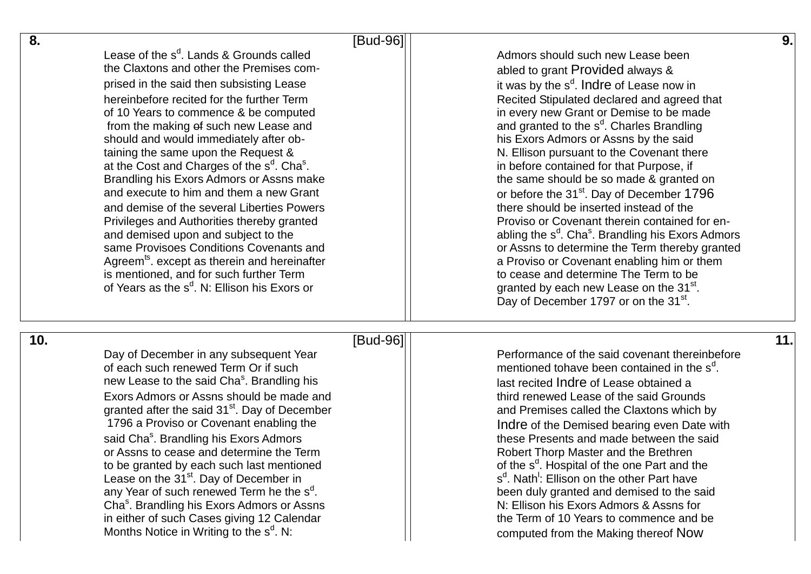| 8.  |                                                                                                                                                                                                                                                                                                                                                                                                                                                                                                                                                                                                                                                                                                                                                                                                                                                                   | [Bud-96] |                                                                                                                                                                                                                                                                                                                                                                                                                                                                                                                                                                                                                                                                                                                                                                                                                                                                                                                                                      | 9.  |
|-----|-------------------------------------------------------------------------------------------------------------------------------------------------------------------------------------------------------------------------------------------------------------------------------------------------------------------------------------------------------------------------------------------------------------------------------------------------------------------------------------------------------------------------------------------------------------------------------------------------------------------------------------------------------------------------------------------------------------------------------------------------------------------------------------------------------------------------------------------------------------------|----------|------------------------------------------------------------------------------------------------------------------------------------------------------------------------------------------------------------------------------------------------------------------------------------------------------------------------------------------------------------------------------------------------------------------------------------------------------------------------------------------------------------------------------------------------------------------------------------------------------------------------------------------------------------------------------------------------------------------------------------------------------------------------------------------------------------------------------------------------------------------------------------------------------------------------------------------------------|-----|
|     | Lease of the $s^d$ . Lands & Grounds called<br>the Claxtons and other the Premises com-<br>prised in the said then subsisting Lease<br>hereinbefore recited for the further Term<br>of 10 Years to commence & be computed<br>from the making of such new Lease and<br>should and would immediately after ob-<br>taining the same upon the Request &<br>at the Cost and Charges of the s <sup>d</sup> . Cha <sup>s</sup> .<br>Brandling his Exors Admors or Assns make<br>and execute to him and them a new Grant<br>and demise of the several Liberties Powers<br>Privileges and Authorities thereby granted<br>and demised upon and subject to the<br>same Provisoes Conditions Covenants and<br>Agreem <sup>ts</sup> . except as therein and hereinafter<br>is mentioned, and for such further Term<br>of Years as the s <sup>d</sup> . N: Ellison his Exors or |          | Admors should such new Lease been<br>abled to grant Provided always &<br>it was by the s <sup>d</sup> . Indre of Lease now in<br>Recited Stipulated declared and agreed that<br>in every new Grant or Demise to be made<br>and granted to the s <sup>d</sup> . Charles Brandling<br>his Exors Admors or Assns by the said<br>N. Ellison pursuant to the Covenant there<br>in before contained for that Purpose, if<br>the same should be so made & granted on<br>or before the 31 <sup>st</sup> . Day of December 1796<br>there should be inserted instead of the<br>Proviso or Covenant therein contained for en-<br>abling the s <sup>d</sup> . Cha <sup>s</sup> . Brandling his Exors Admors<br>or Assns to determine the Term thereby granted<br>a Proviso or Covenant enabling him or them<br>to cease and determine The Term to be<br>granted by each new Lease on the 31 <sup>st</sup> .<br>Day of December 1797 or on the 31 <sup>st</sup> . |     |
| 10. | Day of December in any subsequent Year<br>of each such renewed Term Or if such<br>new Lease to the said Cha <sup>s</sup> . Brandling his<br>Exors Admors or Assns should be made and<br>granted after the said 31 <sup>st</sup> . Day of December<br>1796 a Proviso or Covenant enabling the<br>said Cha <sup>s</sup> . Brandling his Exors Admors<br>or Assns to cease and determine the Term<br>to be granted by each such last mentioned<br>Lease on the 31 <sup>st</sup> . Day of December in<br>any Year of such renewed Term he the s <sup>d</sup> .<br>Cha <sup>s</sup> . Brandling his Exors Admors or Assns<br>in either of such Cases giving 12 Calendar<br>Months Notice in Writing to the s <sup>d</sup> . N:                                                                                                                                         | [Bud-96] | Performance of the said covenant thereinbefore<br>mentioned tohave been contained in the s <sup>d</sup> .<br>last recited Indre of Lease obtained a<br>third renewed Lease of the said Grounds<br>and Premises called the Claxtons which by<br>Indre of the Demised bearing even Date with<br>these Presents and made between the said<br>Robert Thorp Master and the Brethren<br>of the s <sup>d</sup> . Hospital of the one Part and the<br>s <sup>d</sup> . Nath <sup>1</sup> : Ellison on the other Part have<br>been duly granted and demised to the said<br>N: Ellison his Exors Admors & Assns for<br>the Term of 10 Years to commence and be<br>computed from the Making thereof Now                                                                                                                                                                                                                                                         | 11. |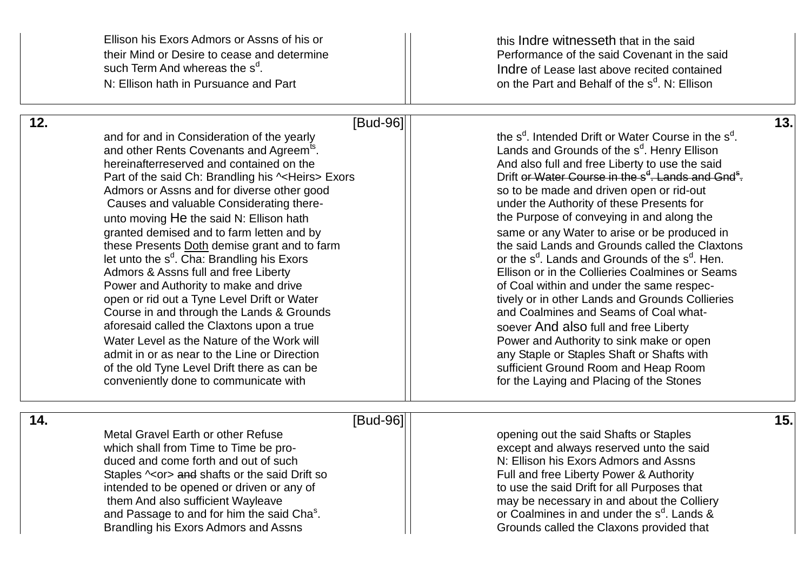|     | Ellison his Exors Admors or Assns of his or<br>their Mind or Desire to cease and determine<br>such Term And whereas the s <sup>d</sup> .<br>N: Ellison hath in Pursuance and Part                                                                                                                                                                                                                                                                                                                                                                                                                                                                                                                                                                                                                                                                                                                                            | this Indre witnesseth that in the said<br>Performance of the said Covenant in the said<br>Indre of Lease last above recited contained<br>on the Part and Behalf of the s <sup>d</sup> . N: Ellison                                                                                                                                                                                                                                                                                                                                                                                                                                                                                                                                                                                                                                                                                                                                                                                                          |     |
|-----|------------------------------------------------------------------------------------------------------------------------------------------------------------------------------------------------------------------------------------------------------------------------------------------------------------------------------------------------------------------------------------------------------------------------------------------------------------------------------------------------------------------------------------------------------------------------------------------------------------------------------------------------------------------------------------------------------------------------------------------------------------------------------------------------------------------------------------------------------------------------------------------------------------------------------|-------------------------------------------------------------------------------------------------------------------------------------------------------------------------------------------------------------------------------------------------------------------------------------------------------------------------------------------------------------------------------------------------------------------------------------------------------------------------------------------------------------------------------------------------------------------------------------------------------------------------------------------------------------------------------------------------------------------------------------------------------------------------------------------------------------------------------------------------------------------------------------------------------------------------------------------------------------------------------------------------------------|-----|
| 12. | [Bud-96]<br>and for and in Consideration of the yearly<br>and other Rents Covenants and Agreem <sup>ts</sup> .<br>hereinafterreserved and contained on the<br>Part of the said Ch: Brandling his ~< Heirs> Exors<br>Admors or Assns and for diverse other good<br>Causes and valuable Considerating there-<br>unto moving He the said N: Ellison hath<br>granted demised and to farm letten and by<br>these Presents Doth demise grant and to farm<br>let unto the s <sup>d</sup> . Cha: Brandling his Exors<br>Admors & Assns full and free Liberty<br>Power and Authority to make and drive<br>open or rid out a Tyne Level Drift or Water<br>Course in and through the Lands & Grounds<br>aforesaid called the Claxtons upon a true<br>Water Level as the Nature of the Work will<br>admit in or as near to the Line or Direction<br>of the old Tyne Level Drift there as can be<br>conveniently done to communicate with | the s <sup>d</sup> . Intended Drift or Water Course in the s <sup>d</sup> .<br>Lands and Grounds of the s <sup>d</sup> . Henry Ellison<br>And also full and free Liberty to use the said<br>Drift or Water Course in the s <sup>d</sup> . Lands and Gnd <sup>s</sup> .<br>so to be made and driven open or rid-out<br>under the Authority of these Presents for<br>the Purpose of conveying in and along the<br>same or any Water to arise or be produced in<br>the said Lands and Grounds called the Claxtons<br>or the s <sup>d</sup> . Lands and Grounds of the s <sup>d</sup> . Hen.<br>Ellison or in the Collieries Coalmines or Seams<br>of Coal within and under the same respec-<br>tively or in other Lands and Grounds Collieries<br>and Coalmines and Seams of Coal what-<br>soever And also full and free Liberty<br>Power and Authority to sink make or open<br>any Staple or Staples Shaft or Shafts with<br>sufficient Ground Room and Heap Room<br>for the Laying and Placing of the Stones | 13. |
| 14. | [Bud-96]<br>Metal Gravel Earth or other Refuse<br>which shall from Time to Time be pro-<br>duced and come forth and out of such<br>Staples ^ <or> and shafts or the said Drift so<br/>intended to be opened or driven or any of<br/>them And also sufficient Wayleave<br/>and Passage to and for him the said Cha<sup>s</sup>.<br/>Brandling his Exors Admors and Assns</or>                                                                                                                                                                                                                                                                                                                                                                                                                                                                                                                                                 | opening out the said Shafts or Staples<br>except and always reserved unto the said<br>N: Ellison his Exors Admors and Assns<br>Full and free Liberty Power & Authority<br>to use the said Drift for all Purposes that<br>may be necessary in and about the Colliery<br>or Coalmines in and under the s <sup>d</sup> . Lands &<br>Grounds called the Claxons provided that                                                                                                                                                                                                                                                                                                                                                                                                                                                                                                                                                                                                                                   | 15. |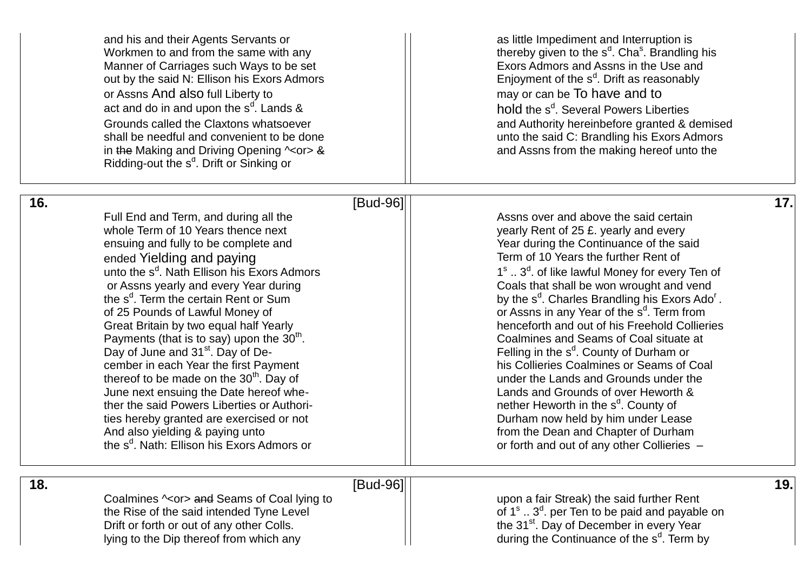and his and their Agents Servants or and interruption is as little Impediment and Interruption is Workmen to and from the same with any  $\left|\begin{array}{ccc} \end{array}\right|$  thereby given to the s<sup>d</sup>. Cha<sup>s</sup>. Brandling hereby given to the s<sup>d</sup>. Chas. Brandling here is a structure of Carriages such Ways to be set Manner of Carriages such Ways to be set out by the said N: Ellison his Exors Admors or Assns And also full Liberty to **may** or Assns And also full Liberty to may or can be To have and to act and do in and upon the  $s^{\text{d}}$ Grounds called the Claxtons whatsoever **and Authority hereinbefore granted & demised** shall be needful and convenient to be done unto the said C: Brandling his Exors Admors in the Making and Driving Opening  $\sim$ or> & Ridding-out the s<sup>d</sup>. Drift or Sinking or

<sup>d</sup>. Cha<sup>s</sup>. Brandling his <sup>d</sup>. Drift as reasonably . Lands &  $|\hspace{.1cm}|$   $\hspace{.1cm}$  hold the s $^{\text{d}}$ . Several Powers Liberties and Assns from the making hereof unto the

### **16 .** [Bud

Full End and Term, and during all the Assns over and above the said certain<br>
whole Term of 10 Years thence next<br>
Wearly Rent of 25 f, yearly and every ensuing and fully to be complete and  $\vert$  Year during the Continuance of the said ended Yielding and paying Term of 10 Years the further Rent of unto the s<sup>d</sup>. Nath Ellison his Exors Admors the s<sup>d</sup>. Term the certain Rent or Sum state of the state of the state of the state of the state of the state of the state of the state of the state of the state of the state of the state of the state of the state of the s of 25 Pounds of Lawful Money of Payments (that is to say) upon the  $30<sup>th</sup>$ . Day of June and 31<sup>st</sup>. Day of Dethereof to be made on the  $30<sup>th</sup>$ . Day of  $\vert$  under the Lands and Grounds under the June next ensuing the Date hereof whe ther the said Powers Liberties or Authori ties hereby granted are exercised or not  $\vert$  Durham now held by him under Lease And also yielding & paying unto **Franchise 1 From the Dean and Chapter of Durham** the s<sup>d</sup>

yearly Rent of 25 £. yearly and every 1<sup>s</sup> .. 3<sup>d</sup>. of like lawful Money for every Ten of or Assns yearly and every Year during and coals that shall be won wrought and vend <sup>d</sup>. Charles Brandling his Exors Ado<sup>r</sup>. <sup>d</sup>. Term from Great Britain by two equal half Yearly **Exercise 1 Collies** henceforth and out of his Freehold Collieries . Coalmines and Seams of Coal situate at - The setting in the s<sup>d</sup>. County of Durham or cember in each Year the first Payment **his Collieries Coalmines or Seams of Coal** Lands and Grounds of over Heworth & - **Alternative County of the S**<sup>d</sup>. County of . Nath: Ellison his Exors Admors or **Example 20** and put of any other collieries  $-$ 

 **18**

**.** [Bud -96] **19.** 

Coalmines  $\sim$ or> and Seams of Coal lying to Upon a fair Streak) the said further Rent the Rise of the said intended Tyne Level Drift or forth or out of any other Colls. The State of the 31<sup>st</sup>. Day of December in every Year lying to the Dip thereof from which any

 $\textsuperscript{s}$  ..  $3^\text{d}$ . per Ten to be paid and payable on <sup>d</sup>. Term by

-96] **17.**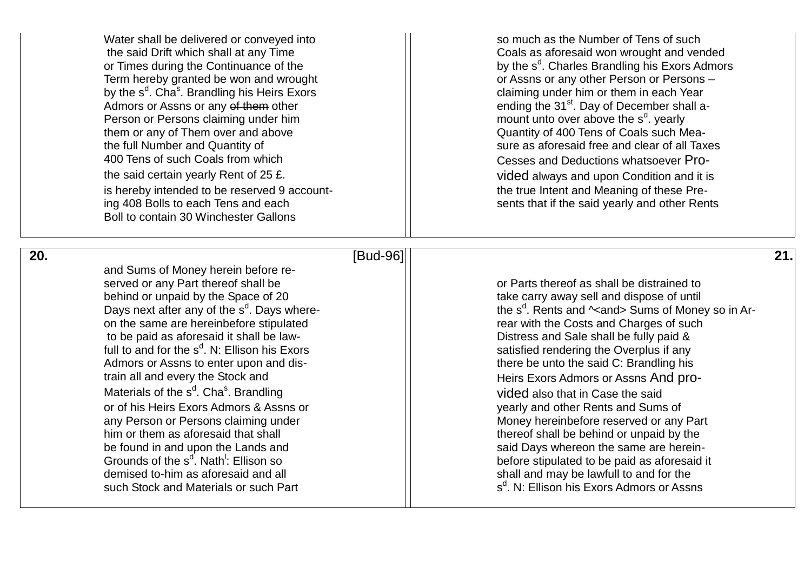Water shall be delivered or conveved into so so much as the Number of Tens of such or Times during the Continuance of the Term hereby granted be won and wrought by the s<sup>d</sup>. Cha<sup>s</sup> by the s<sup>d</sup>. Cha<sup>s</sup>. Brandling his Heirs Exors  $\vert$  claiming under him or them in each Year<br>Admors or Assns or any of them other  $\vert$  ending the 31<sup>st</sup>. Day of December shall a Admors or Assns or any of them other  $\vert\,\vert$  ending the 31<sup>st</sup>. Day of December shall a-Person or Persons claiming under him them or any of Them over and above Quantity of 400 Tens of Coals such Mea the full Number and Quantity of sure as aforesaid free and clear of all Taxes 400 Tens of such Coals from which  $\vert\vert$  cesses and Deductions whatsoever Prothe said certain yearly Rent of 25 £. vided always and upon Condition and it is is hereby intended to be reserved 9 account ing 408 Bolls to each Tens and each sents that if the said yearly and other Rents Boll to contain 30 Winchester Gallons

the said Drift which shall at any Time Coals as aforesaid won wrought and vended <sup>d</sup>. Charles Brandling his Exors Admors or Assns or any other Person or Persons -<sup>d</sup>. yearly - The true Intent and Meaning of these Pre-

-96] **21.** 

 **20**

**.** [Bud and Sums of Money herein before re served or any Part thereof shall be or Parts thereof as shall be distrained to behind or unpaid by the Space of 20 take carry away sell and dispose of until Days next after any of the s<sup>d</sup>. Days where on the same are hereinbefore stipulated and the Costs and Charges of such rear with the Costs and Charges of such to be paid as aforesaid it shall be law full to and for the s<sup>d</sup> Admors or Assns to enter upon and dis train all and every the Stock and strain all and every the Stock and Heirs Exors Admors or Assns And pro-Materials of the s<sup>d</sup>. Cha<sup>s</sup> or of his Heirs Exors Admors & Assns or yearly and other Rents and Sums of him or them as aforesaid that shall the shall thereof shall be behind or unpaid by the be found in and upon the Lands and said Days whereon the same are herein-Grounds of the s<sup>d</sup>. Nath<sup>1</sup> demised to-him as aforesaid and all such Stock and Materials or such Part

 $\begin{array}{c} \text{-} \end{array}$   $\begin{array}{c} \text{ } \end{array}$   $\begin{array}{c} \text{ } \end{array}$  the s<sup>d</sup>. Rents and ^<and> Sums of Money so in Ar-Distress and Sale shall be fully paid & satisfied rendering the Overplus if any there be unto the said C: Brandling his vided also that in Case the said any Person or Persons claiming under Money hereinbefore reserved or any Part before stipulated to be paid as aforesaid it shall and may be lawfull to and for the s<sup>d</sup>. N: Ellison his Exors Admors or Assns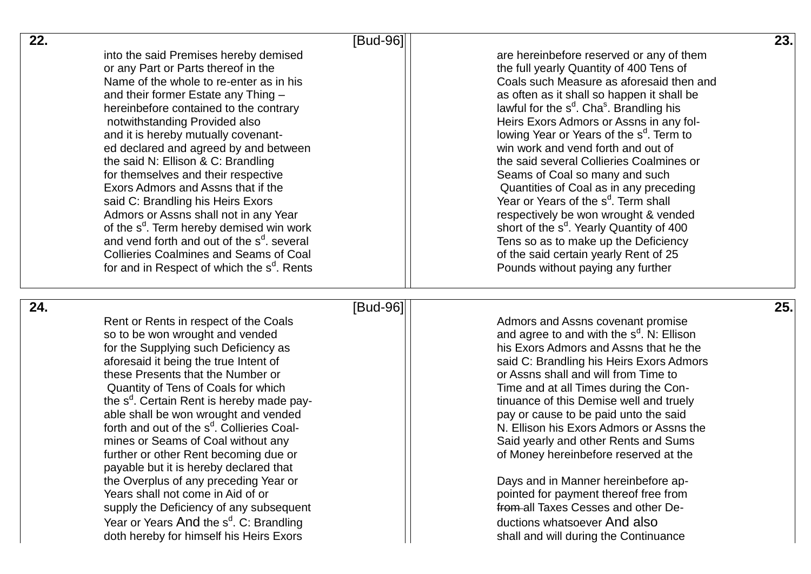| 22. |                                                                                                | [Bud-96] |                                                                                                 | 23. |
|-----|------------------------------------------------------------------------------------------------|----------|-------------------------------------------------------------------------------------------------|-----|
|     | into the said Premises hereby demised                                                          |          | are hereinbefore reserved or any of them                                                        |     |
|     | or any Part or Parts thereof in the                                                            |          | the full yearly Quantity of 400 Tens of                                                         |     |
|     | Name of the whole to re-enter as in his                                                        |          | Coals such Measure as aforesaid then and                                                        |     |
|     | and their former Estate any Thing -                                                            |          | as often as it shall so happen it shall be                                                      |     |
|     | hereinbefore contained to the contrary                                                         |          | lawful for the s <sup>d</sup> . Cha <sup>s</sup> . Brandling his                                |     |
|     | notwithstanding Provided also                                                                  |          | Heirs Exors Admors or Assns in any fol-                                                         |     |
|     | and it is hereby mutually covenant-                                                            |          | lowing Year or Years of the s <sup>d</sup> . Term to                                            |     |
|     | ed declared and agreed by and between                                                          |          | win work and vend forth and out of                                                              |     |
|     | the said N: Ellison & C: Brandling                                                             |          | the said several Collieries Coalmines or                                                        |     |
|     | for themselves and their respective                                                            |          | Seams of Coal so many and such                                                                  |     |
|     | Exors Admors and Assns that if the                                                             |          | Quantities of Coal as in any preceding                                                          |     |
|     | said C: Brandling his Heirs Exors                                                              |          | Year or Years of the s <sup>d</sup> . Term shall                                                |     |
|     | Admors or Assns shall not in any Year                                                          |          | respectively be won wrought & vended                                                            |     |
|     | of the s <sup>d</sup> . Term hereby demised win work                                           |          | short of the s <sup>d</sup> . Yearly Quantity of 400                                            |     |
|     | and vend forth and out of the s <sup>d</sup> . several                                         |          | Tens so as to make up the Deficiency                                                            |     |
|     | <b>Collieries Coalmines and Seams of Coal</b>                                                  |          | of the said certain yearly Rent of 25                                                           |     |
|     | for and in Respect of which the s <sup>d</sup> . Rents                                         |          | Pounds without paying any further                                                               |     |
|     |                                                                                                |          |                                                                                                 |     |
|     |                                                                                                |          |                                                                                                 |     |
| 24. |                                                                                                | [Bud-96] |                                                                                                 | 25. |
|     | Rent or Rents in respect of the Coals                                                          |          | Admors and Assns covenant promise                                                               |     |
|     | so to be won wrought and vended                                                                |          | and agree to and with the s <sup>d</sup> . N: Ellison<br>his Exors Admors and Assns that he the |     |
|     | for the Supplying such Deficiency as<br>aforesaid it being the true Intent of                  |          |                                                                                                 |     |
|     | these Presents that the Number or                                                              |          | said C: Brandling his Heirs Exors Admors<br>or Assns shall and will from Time to                |     |
|     | Quantity of Tens of Coals for which                                                            |          | Time and at all Times during the Con-                                                           |     |
|     | the s <sup>d</sup> . Certain Rent is hereby made pay-                                          |          | tinuance of this Demise well and truely                                                         |     |
|     | able shall be won wrought and vended                                                           |          | pay or cause to be paid unto the said                                                           |     |
|     | forth and out of the s <sup>d</sup> . Collieries Coal-                                         |          | N. Ellison his Exors Admors or Assns the                                                        |     |
|     | mines or Seams of Coal without any                                                             |          | Said yearly and other Rents and Sums                                                            |     |
|     | further or other Rent becoming due or                                                          |          | of Money hereinbefore reserved at the                                                           |     |
|     | payable but it is hereby declared that                                                         |          |                                                                                                 |     |
|     | the Overplus of any preceding Year or                                                          |          | Days and in Manner hereinbefore ap-                                                             |     |
|     | Years shall not come in Aid of or                                                              |          | pointed for payment thereof free from                                                           |     |
|     | supply the Deficiency of any subsequent                                                        |          | from all Taxes Cesses and other De-                                                             |     |
|     | Year or Years And the s <sup>d</sup> . C: Brandling<br>doth hereby for himself his Heirs Exors |          | ductions whatsoever And also<br>shall and will during the Continuance                           |     |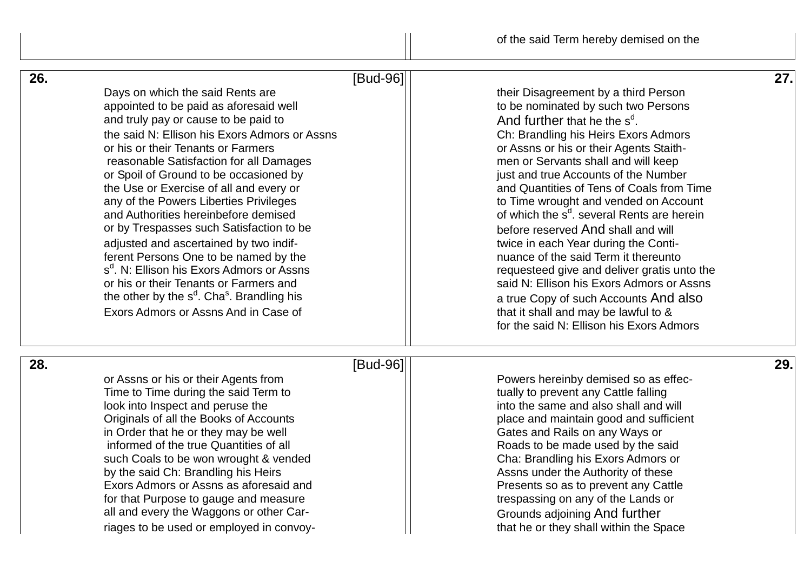| 26. | Days on which the said Rents are<br>appointed to be paid as aforesaid well<br>and truly pay or cause to be paid to<br>the said N: Ellison his Exors Admors or Assns<br>or his or their Tenants or Farmers<br>reasonable Satisfaction for all Damages<br>or Spoil of Ground to be occasioned by<br>the Use or Exercise of all and every or<br>any of the Powers Liberties Privileges<br>and Authorities hereinbefore demised<br>or by Trespasses such Satisfaction to be<br>adjusted and ascertained by two indif-<br>ferent Persons One to be named by the<br>s <sup>d</sup> , N: Ellison his Exors Admors or Assns<br>or his or their Tenants or Farmers and<br>the other by the s <sup>d</sup> . Cha <sup>s</sup> . Brandling his<br>Exors Admors or Assns And in Case of | [Bud-96]<br>their Disagreement by a third Person<br>to be nominated by such two Persons<br>And further that he the s <sup>d</sup> .<br>Ch: Brandling his Heirs Exors Admors<br>or Assns or his or their Agents Staith-<br>men or Servants shall and will keep<br>just and true Accounts of the Number<br>and Quantities of Tens of Coals from Time<br>to Time wrought and vended on Account<br>of which the s <sup>d</sup> . several Rents are herein<br>before reserved And shall and will<br>twice in each Year during the Conti-<br>nuance of the said Term it thereunto<br>requesteed give and deliver gratis unto the<br>said N: Ellison his Exors Admors or Assns<br>a true Copy of such Accounts And also<br>that it shall and may be lawful to &<br>for the said N: Ellison his Exors Admors | 27. |
|-----|-----------------------------------------------------------------------------------------------------------------------------------------------------------------------------------------------------------------------------------------------------------------------------------------------------------------------------------------------------------------------------------------------------------------------------------------------------------------------------------------------------------------------------------------------------------------------------------------------------------------------------------------------------------------------------------------------------------------------------------------------------------------------------|------------------------------------------------------------------------------------------------------------------------------------------------------------------------------------------------------------------------------------------------------------------------------------------------------------------------------------------------------------------------------------------------------------------------------------------------------------------------------------------------------------------------------------------------------------------------------------------------------------------------------------------------------------------------------------------------------------------------------------------------------------------------------------------------------|-----|
| 28. |                                                                                                                                                                                                                                                                                                                                                                                                                                                                                                                                                                                                                                                                                                                                                                             | [Bud-96]                                                                                                                                                                                                                                                                                                                                                                                                                                                                                                                                                                                                                                                                                                                                                                                             | 29. |
|     | or Assns or his or their Agents from<br>Time to Time during the said Term to<br>look into Inspect and peruse the<br>Originals of all the Books of Accounts<br>in Order that he or they may be well<br>informed of the true Quantities of all<br>such Coals to be won wrought & vended<br>by the said Ch: Brandling his Heirs<br>Exors Admors or Assns as aforesaid and<br>for that Purpose to gauge and measure<br>all and every the Waggons or other Car-                                                                                                                                                                                                                                                                                                                  | Powers hereinby demised so as effec-<br>tually to prevent any Cattle falling<br>into the same and also shall and will<br>place and maintain good and sufficient<br>Gates and Rails on any Ways or<br>Roads to be made used by the said<br>Cha: Brandling his Exors Admors or<br>Assns under the Authority of these<br>Presents so as to prevent any Cattle<br>trespassing on any of the Lands or<br>Grounds adjoining And further                                                                                                                                                                                                                                                                                                                                                                    |     |
|     | riages to be used or employed in convoy-                                                                                                                                                                                                                                                                                                                                                                                                                                                                                                                                                                                                                                                                                                                                    | that he or they shall within the Space                                                                                                                                                                                                                                                                                                                                                                                                                                                                                                                                                                                                                                                                                                                                                               |     |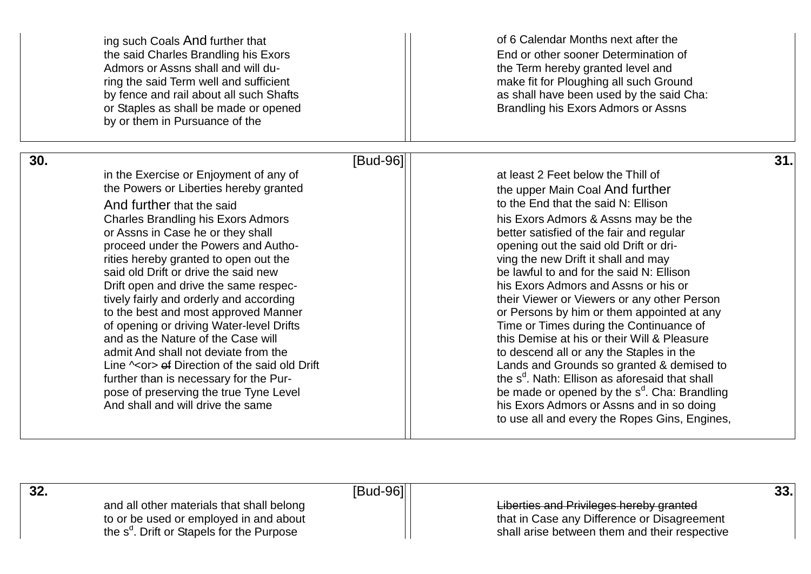| ing such Coals And further that<br>the said Charles Brandling his Exors<br>Admors or Assns shall and will du-<br>ring the said Term well and sufficient<br>by fence and rail about all such Shafts<br>or Staples as shall be made or opened<br>by or them in Pursuance of the                                                                                                                                                                                                                                                                                                                                                                                                                                                                                                    |          | of 6 Calendar Months next after the<br>End or other sooner Determination of<br>the Term hereby granted level and<br>make fit for Ploughing all such Ground<br>as shall have been used by the said Cha:<br>Brandling his Exors Admors or Assns                                                                                                                                                                                                                                                                                                                                                                                                                                                                                                                                                                                                                                       |
|----------------------------------------------------------------------------------------------------------------------------------------------------------------------------------------------------------------------------------------------------------------------------------------------------------------------------------------------------------------------------------------------------------------------------------------------------------------------------------------------------------------------------------------------------------------------------------------------------------------------------------------------------------------------------------------------------------------------------------------------------------------------------------|----------|-------------------------------------------------------------------------------------------------------------------------------------------------------------------------------------------------------------------------------------------------------------------------------------------------------------------------------------------------------------------------------------------------------------------------------------------------------------------------------------------------------------------------------------------------------------------------------------------------------------------------------------------------------------------------------------------------------------------------------------------------------------------------------------------------------------------------------------------------------------------------------------|
| 30.<br>in the Exercise or Enjoyment of any of<br>the Powers or Liberties hereby granted<br>And further that the said<br><b>Charles Brandling his Exors Admors</b><br>or Assns in Case he or they shall<br>proceed under the Powers and Autho-<br>rities hereby granted to open out the<br>said old Drift or drive the said new<br>Drift open and drive the same respec-<br>tively fairly and orderly and according<br>to the best and most approved Manner<br>of opening or driving Water-level Drifts<br>and as the Nature of the Case will<br>admit And shall not deviate from the<br>Line $\sim$ or $\rightarrow$ of Direction of the said old Drift<br>further than is necessary for the Pur-<br>pose of preserving the true Tyne Level<br>And shall and will drive the same | [Bud-96] | 31.<br>at least 2 Feet below the Thill of<br>the upper Main Coal And further<br>to the End that the said N: Ellison<br>his Exors Admors & Assns may be the<br>better satisfied of the fair and regular<br>opening out the said old Drift or dri-<br>ving the new Drift it shall and may<br>be lawful to and for the said N: Ellison<br>his Exors Admors and Assns or his or<br>their Viewer or Viewers or any other Person<br>or Persons by him or them appointed at any<br>Time or Times during the Continuance of<br>this Demise at his or their Will & Pleasure<br>to descend all or any the Staples in the<br>Lands and Grounds so granted & demised to<br>the s <sup>d</sup> . Nath: Ellison as aforesaid that shall<br>be made or opened by the s <sup>d</sup> . Cha: Brandling<br>his Exors Admors or Assns and in so doing<br>to use all and every the Ropes Gins, Engines, |

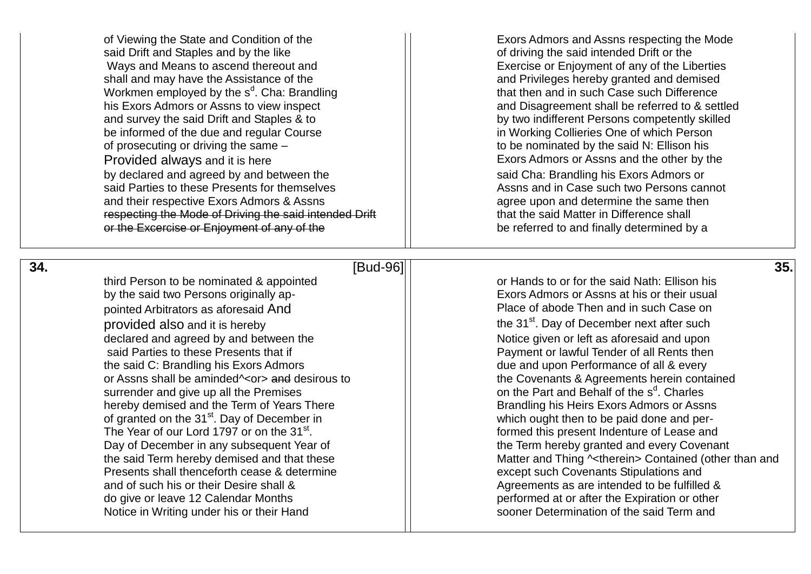said Drift and Staples and by the like said Drift of driving the said intended Drift or the Ways and Means to ascend thereout and Exercise or Enjoyment of any of the Liberties shall and may have the Assistance of the and Privileges hereby granted and demised Workmen employed by the  $s<sup>d</sup>$ . Cha: Brandling his Exors Admors or Assns to view inspect and survey the said Drift and Staples & to by two indifferent Persons competently skilled be informed of the due and regular Course **in Course in Working Collieries One of which Person** of prosecuting or driving the same – to be nominated by the said N: Ellison his Provided always and it is here Exors Admors or Assns and the other by the Exors Admors or Assns and the other by the by declared and agreed by and between the Exors Admors or by declared and agreed by and between the said Parties to these Presents for themselves Assume Assns and in Case such two Persons cannot and their respective Exors Admors & Assns and their respective Exors Admors & Assns respecting the Mode of Driving the said intended Drift  $\vert$   $\vert$  that the said Matter in Difference shall or the Excercise or Enjoyment of any of the bearch be referred to and finally determined by a

of Viewing the State and Condition of the Exors Admors and Assns respecting the Mode that then and in such Case such Difference and Disagreement shall be referred to & settled

# **34.** [Bud-96] **35.**

by the said two Persons originally ap-<br>  $\Box$  Exors Admors or Assns at his or their usual pointed Arbitrators as aforesaid And **Place of abode Then and in such Case on** provided also and it is hereby  $\vert$  the 31<sup>st</sup>. Day of December next after such declared and agreed by and between the Notice given or left as aforesaid and upon said Parties to these Presents that if  $\vert$  Payment or lawful Tender of all Rents then the said C: Brandling his Exors Admors and due and upon Performance of all & every or Assns shall be aminded<sup> $\sim$ </sup>or and desirous to the Covenants & Agreements herein contained surrender and give up all the Premises hereby demised and the Term of Years There **Brandling his Heirs Exors Admors or Assns** of granted on the 31<sup>st</sup>. Day of December in and per-The Year of our Lord 1797 or on the  $31<sup>st</sup>$ . Day of December in any subsequent Year of  $\vert$   $\vert$  the Term hereby granted and every Covenant Presents shall thenceforth cease & determine except such Covenants Stipulations and and of such his or their Desire shall & Agreements as are intended to be fulfilled & do give or leave 12 Calendar Months performed at or after the Expiration or other Notice in Writing under his or their Hand solution of the said Term and solution of the said Term and

third Person to be nominated & appointed **or the said Nath:** Ellison his on the Part and Behalf of the s<sup>d</sup>. Charles . formed this present Indenture of Lease and the said Term hereby demised and that these Matter and Thing  $\sim$  therein> Contained (other than and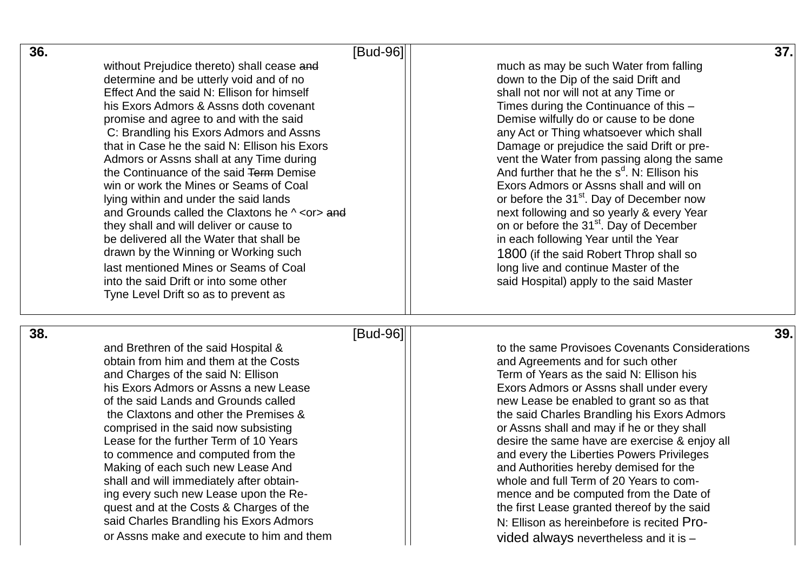| 36.                                                       | [Bud-96]                                             | 37. |
|-----------------------------------------------------------|------------------------------------------------------|-----|
| without Prejudice thereto) shall cease and                | much as may be such Water from falling               |     |
| determine and be utterly void and of no                   | down to the Dip of the said Drift and                |     |
| Effect And the said N: Ellison for himself                | shall not nor will not at any Time or                |     |
| his Exors Admors & Assns doth covenant                    | Times during the Continuance of this -               |     |
| promise and agree to and with the said                    | Demise wilfully do or cause to be done               |     |
| C: Brandling his Exors Admors and Assns                   | any Act or Thing whatsoever which shall              |     |
| that in Case he the said N: Ellison his Exors             | Damage or prejudice the said Drift or pre-           |     |
| Admors or Assns shall at any Time during                  | vent the Water from passing along the same           |     |
| the Continuance of the said Term Demise                   | And further that he the $s^d$ . N: Ellison his       |     |
| win or work the Mines or Seams of Coal                    | Exors Admors or Assns shall and will on              |     |
| lying within and under the said lands                     | or before the 31 <sup>st</sup> . Day of December now |     |
| and Grounds called the Claxtons he $\wedge$ <or> and</or> | next following and so yearly & every Year            |     |
| they shall and will deliver or cause to                   | on or before the 31 <sup>st</sup> . Day of December  |     |
| be delivered all the Water that shall be                  | in each following Year until the Year                |     |
| drawn by the Winning or Working such                      | 1800 (if the said Robert Throp shall so              |     |
| last mentioned Mines or Seams of Coal                     | long live and continue Master of the                 |     |
| into the said Drift or into some other                    | said Hospital) apply to the said Master              |     |
| Tyne Level Drift so as to prevent as                      |                                                      |     |
| 38.                                                       | [Bud-96]                                             | 39. |
| and Brethren of the said Hospital &                       | to the same Provisoes Covenants Considerations       |     |
| obtain from him and them at the Costs                     | and Agreements and for such other                    |     |
| and Charges of the said N: Ellison                        | Term of Years as the said N: Ellison his             |     |
| his Exors Admors or Assns a new Lease                     | Exors Admors or Assns shall under every              |     |
| of the said Lands and Grounds called                      | new Lease be enabled to grant so as that             |     |
| the Claxtons and other the Premises &                     | the said Charles Brandling his Exors Admors          |     |
| comprised in the said now subsisting                      | or Assns shall and may if he or they shall           |     |
| Lease for the further Term of 10 Years                    | desire the same have are exercise & enjoy all        |     |
| to commence and computed from the                         | and every the Liberties Powers Privileges            |     |
| Making of each such new Lease And                         | and Authorities hereby demised for the               |     |
| shall and will immediately after obtain-                  | whole and full Term of 20 Years to com-              |     |
| ing every such new Lease upon the Re-                     | mence and be computed from the Date of               |     |
| quest and at the Costs & Charges of the                   | the first Lease granted thereof by the said          |     |
| said Charles Brandling his Exors Admors                   | N: Ellison as hereinbefore is recited Pro-           |     |
| or Assns make and execute to him and them                 | vided always nevertheless and it is $-$              |     |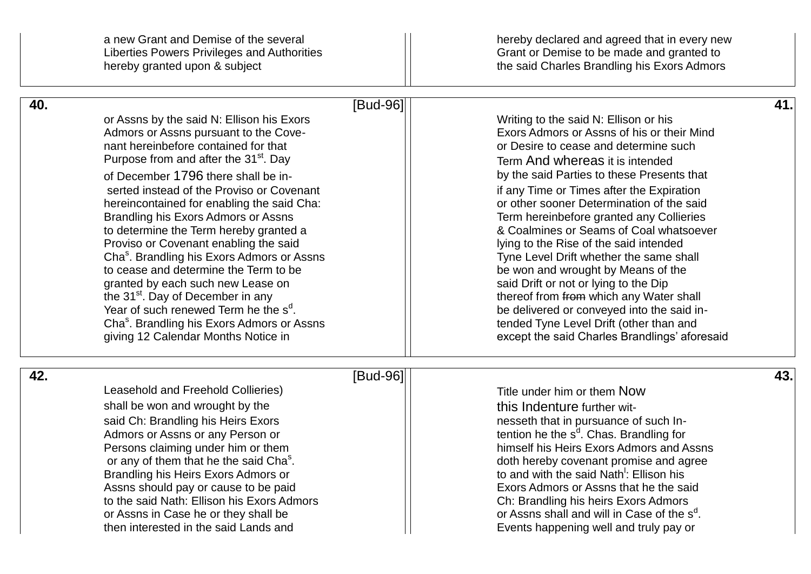hereby granted upon & subject **the said Charles Brandling his Exors Admors** 

a new Grant and Demise of the several  $\vert\vert$  hereby declared and agreed that in every new Liberties Powers Privileges and Authorities Grant Or Demise to be made and granted to

| 40. |                                                                                                    | [Bud-96] |                                                                                                | 41. |
|-----|----------------------------------------------------------------------------------------------------|----------|------------------------------------------------------------------------------------------------|-----|
|     | or Assns by the said N: Ellison his Exors                                                          |          | Writing to the said N: Ellison or his                                                          |     |
|     | Admors or Assns pursuant to the Cove-<br>nant hereinbefore contained for that                      |          | Exors Admors or Assns of his or their Mind<br>or Desire to cease and determine such            |     |
|     | Purpose from and after the 31 <sup>st</sup> . Day                                                  |          | Term And whereas it is intended                                                                |     |
|     | of December 1796 there shall be in-                                                                |          | by the said Parties to these Presents that                                                     |     |
|     | serted instead of the Proviso or Covenant                                                          |          | if any Time or Times after the Expiration                                                      |     |
|     | hereincontained for enabling the said Cha:                                                         |          | or other sooner Determination of the said                                                      |     |
|     | Brandling his Exors Admors or Assns                                                                |          | Term hereinbefore granted any Collieries                                                       |     |
|     | to determine the Term hereby granted a                                                             |          | & Coalmines or Seams of Coal whatsoever                                                        |     |
|     | Proviso or Covenant enabling the said                                                              |          | lying to the Rise of the said intended                                                         |     |
|     | Cha <sup>s</sup> . Brandling his Exors Admors or Assns                                             |          | Tyne Level Drift whether the same shall                                                        |     |
|     | to cease and determine the Term to be                                                              |          | be won and wrought by Means of the                                                             |     |
|     | granted by each such new Lease on                                                                  |          | said Drift or not or lying to the Dip                                                          |     |
|     | the 31 <sup>st</sup> . Day of December in any<br>Year of such renewed Term he the s <sup>d</sup> . |          | thereof from from which any Water shall                                                        |     |
|     | Cha <sup>s</sup> . Brandling his Exors Admors or Assns                                             |          | be delivered or conveyed into the said in-<br>tended Tyne Level Drift (other than and          |     |
|     | giving 12 Calendar Months Notice in                                                                |          | except the said Charles Brandlings' aforesaid                                                  |     |
|     |                                                                                                    |          |                                                                                                |     |
| 42. |                                                                                                    | [Bud-96] |                                                                                                | 43. |
|     | Leasehold and Freehold Collieries)                                                                 |          | Title under him or them Now                                                                    |     |
|     | shall be won and wrought by the                                                                    |          | this Indenture further wit-                                                                    |     |
|     | said Ch: Brandling his Heirs Exors                                                                 |          | nesseth that in pursuance of such In-                                                          |     |
|     | Admors or Assns or any Person or                                                                   |          | tention he the s <sup>d</sup> . Chas. Brandling for                                            |     |
|     | Persons claiming under him or them                                                                 |          | himself his Heirs Exors Admors and Assns                                                       |     |
|     | or any of them that he the said Cha <sup>s</sup> .                                                 |          | doth hereby covenant promise and agree                                                         |     |
|     | Brandling his Heirs Exors Admors or                                                                |          | to and with the said Nath <sup>1</sup> : Ellison his<br>Exors Admors or Assns that he the said |     |
|     | Assns should pay or cause to be paid<br>to the said Nath: Ellison his Exors Admors                 |          | Ch: Brandling his heirs Exors Admors                                                           |     |
|     | or Assns in Case he or they shall be                                                               |          | or Assns shall and will in Case of the s <sup>d</sup> .                                        |     |
|     | then interested in the said Lands and                                                              |          | Events happening well and truly pay or                                                         |     |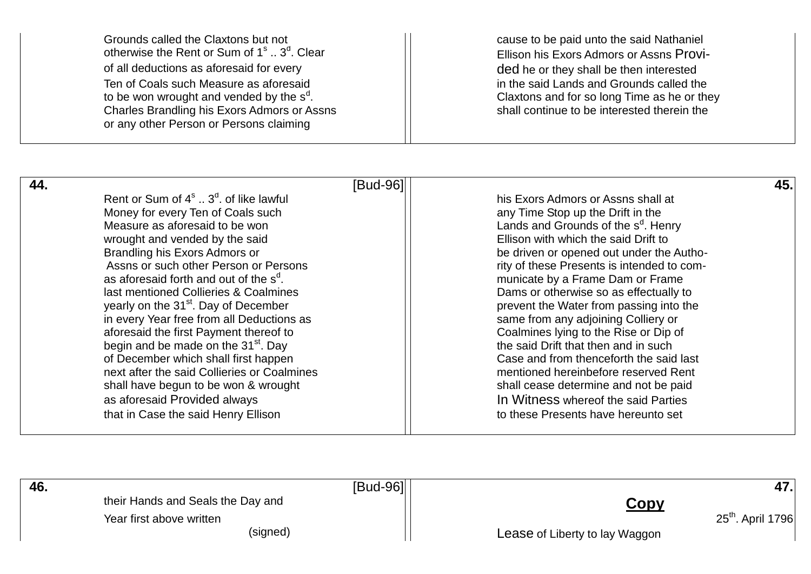Grounds called the Claxtons but not **cause to be paid unto the said Nathaniel** otherwise the Rent or Sum of 1<sup>s</sup> .. 3<sup>d</sup> otherwise the Rent or Sum of 1<sup>s</sup> .. 3<sup>d</sup>. Clear Ellison his Exors Admors or Assns Provi-<br>
of all deductions as aforesaid for every ellison by the or they shall be then interested Ten of Coals such Measure as aforesaid in the said Lands and Grounds called the to be won wrought and vended by the  $s<sup>d</sup>$ . Charles Brandling his Exors Admors or Assns or any other Person or Persons claiming

ded he or they shall be then interested Claxtons and for so long Time as he or they<br>shall continue to be interested therein the

| 44. |                                                         | [Bud-96] |                                                 | 45. |
|-----|---------------------------------------------------------|----------|-------------------------------------------------|-----|
|     | Rent or Sum of $4^{\circ}$ $3^{\circ}$ . of like lawful |          | his Exors Admors or Assns shall at              |     |
|     | Money for every Ten of Coals such                       |          | any Time Stop up the Drift in the               |     |
|     | Measure as aforesaid to be won                          |          | Lands and Grounds of the s <sup>d</sup> . Henry |     |
|     | wrought and vended by the said                          |          | Ellison with which the said Drift to            |     |
|     | Brandling his Exors Admors or                           |          | be driven or opened out under the Autho-        |     |
|     | Assns or such other Person or Persons                   |          | rity of these Presents is intended to com-      |     |
|     | as aforesaid forth and out of the s <sup>d</sup> .      |          | municate by a Frame Dam or Frame                |     |
|     | last mentioned Collieries & Coalmines                   |          | Dams or otherwise so as effectually to          |     |
|     | yearly on the 31 <sup>st</sup> . Day of December        |          | prevent the Water from passing into the         |     |
|     | in every Year free from all Deductions as               |          | same from any adjoining Colliery or             |     |
|     | aforesaid the first Payment thereof to                  |          | Coalmines lying to the Rise or Dip of           |     |
|     | begin and be made on the 31 <sup>st</sup> . Day         |          | the said Drift that then and in such            |     |
|     | of December which shall first happen                    |          | Case and from thenceforth the said last         |     |
|     | next after the said Collieries or Coalmines             |          | mentioned hereinbefore reserved Rent            |     |
|     | shall have begun to be won & wrought                    |          | shall cease determine and not be paid           |     |
|     | as aforesaid Provided always                            |          | In Witness whereof the said Parties             |     |
|     | that in Case the said Henry Ellison                     |          | to these Presents have hereunto set             |     |

| 46. | [Bud-96]                                                      |                                | 47.                 |
|-----|---------------------------------------------------------------|--------------------------------|---------------------|
|     | their Hands and Seals the Day and<br>Year first above written | Copy                           | $25th$ . April 1796 |
|     | (signed)                                                      | Lease of Liberty to lay Waggon |                     |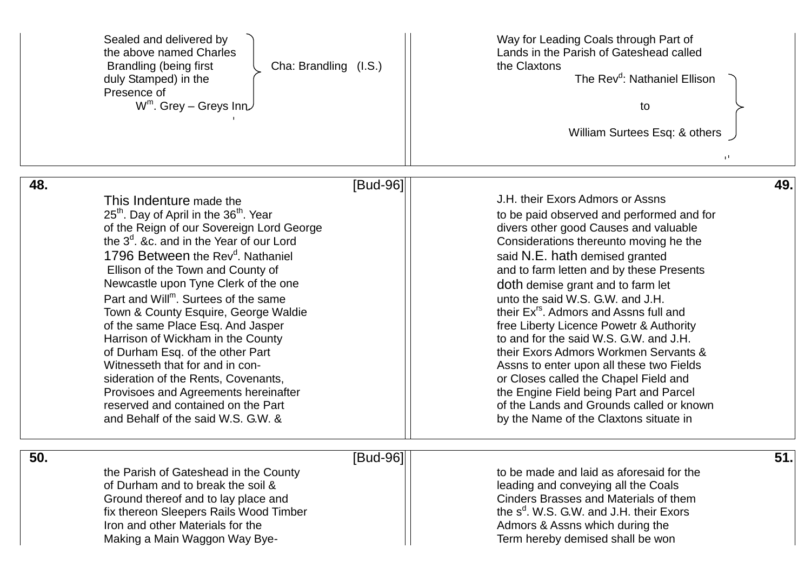|     | Sealed and delivered by<br>the above named Charles<br>Cha: Brandling (I.S.)<br>Brandling (being first<br>duly Stamped) in the<br>Presence of<br>$W^m$ . Grey – Greys Inn $\cup$                                                                                                                                                                                                                                                                                                                                                                                                                                                                                                                                            | Way for Leading Coals through Part of<br>Lands in the Parish of Gateshead called<br>the Claxtons<br>The Rev <sup>d</sup> : Nathaniel Ellison<br>to<br>William Surtees Esq: & others<br>p.                                                                                                                                                                                                                                                                                                                                                                                                                                                                                                                                        |     |
|-----|----------------------------------------------------------------------------------------------------------------------------------------------------------------------------------------------------------------------------------------------------------------------------------------------------------------------------------------------------------------------------------------------------------------------------------------------------------------------------------------------------------------------------------------------------------------------------------------------------------------------------------------------------------------------------------------------------------------------------|----------------------------------------------------------------------------------------------------------------------------------------------------------------------------------------------------------------------------------------------------------------------------------------------------------------------------------------------------------------------------------------------------------------------------------------------------------------------------------------------------------------------------------------------------------------------------------------------------------------------------------------------------------------------------------------------------------------------------------|-----|
| 48. | [Bud-96]                                                                                                                                                                                                                                                                                                                                                                                                                                                                                                                                                                                                                                                                                                                   |                                                                                                                                                                                                                                                                                                                                                                                                                                                                                                                                                                                                                                                                                                                                  | 49. |
|     | This Indenture made the<br>25 <sup>th</sup> . Day of April in the 36 <sup>th</sup> . Year<br>of the Reign of our Sovereign Lord George<br>the $3d$ , &c. and in the Year of our Lord<br>1796 Between the Rev <sup>d</sup> . Nathaniel<br>Ellison of the Town and County of<br>Newcastle upon Tyne Clerk of the one<br>Part and Will <sup>m</sup> . Surtees of the same<br>Town & County Esquire, George Waldie<br>of the same Place Esq. And Jasper<br>Harrison of Wickham in the County<br>of Durham Esq. of the other Part<br>Witnesseth that for and in con-<br>sideration of the Rents, Covenants,<br>Provisoes and Agreements hereinafter<br>reserved and contained on the Part<br>and Behalf of the said W.S. G.W. & | J.H. their Exors Admors or Assns<br>to be paid observed and performed and for<br>divers other good Causes and valuable<br>Considerations thereunto moving he the<br>said N.E. hath demised granted<br>and to farm letten and by these Presents<br>doth demise grant and to farm let<br>unto the said W.S. G.W. and J.H.<br>their Ex <sup>rs</sup> . Admors and Assns full and<br>free Liberty Licence Powetr & Authority<br>to and for the said W.S. G.W. and J.H.<br>their Exors Admors Workmen Servants &<br>Assns to enter upon all these two Fields<br>or Closes called the Chapel Field and<br>the Engine Field being Part and Parcel<br>of the Lands and Grounds called or known<br>by the Name of the Claxtons situate in |     |
| 50. | $[Bud-96]$                                                                                                                                                                                                                                                                                                                                                                                                                                                                                                                                                                                                                                                                                                                 |                                                                                                                                                                                                                                                                                                                                                                                                                                                                                                                                                                                                                                                                                                                                  | 51. |
|     | the Parish of Gateshead in the County<br>of Durham and to break the soil &<br>Ground thereof and to lay place and<br>fix thereon Sleepers Rails Wood Timber<br>Iron and other Materials for the<br>Making a Main Waggon Way Bye-                                                                                                                                                                                                                                                                                                                                                                                                                                                                                           | to be made and laid as aforesaid for the<br>leading and conveying all the Coals<br>Cinders Brasses and Materials of them<br>the $s^d$ . W.S. G.W. and J.H. their Exors<br>Admors & Assns which during the<br>Term hereby demised shall be won                                                                                                                                                                                                                                                                                                                                                                                                                                                                                    |     |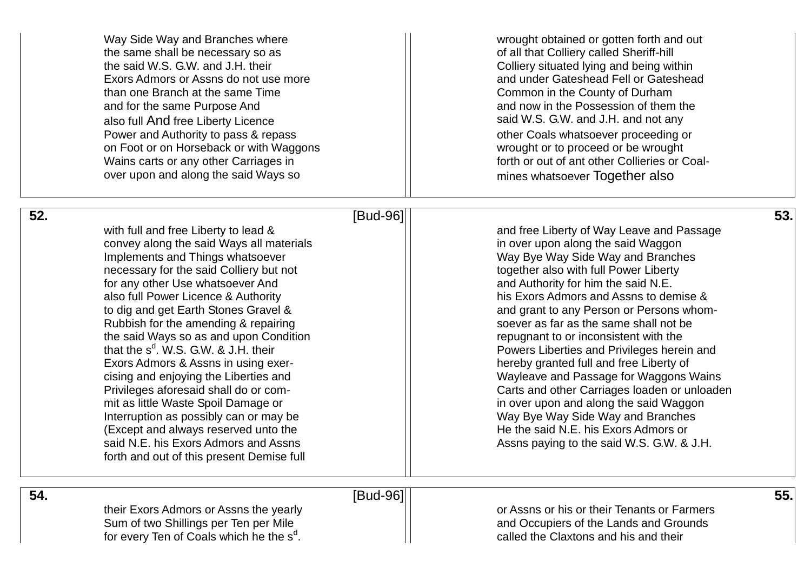|     | Way Side Way and Branches where<br>the same shall be necessary so as<br>the said W.S. G.W. and J.H. their<br>Exors Admors or Assns do not use more<br>than one Branch at the same Time<br>and for the same Purpose And | wrought obtained or gotten forth and out<br>of all that Colliery called Sheriff-hill<br>Colliery situated lying and being within<br>and under Gateshead Fell or Gateshead<br>Common in the County of Durham<br>and now in the Possession of them the |     |
|-----|------------------------------------------------------------------------------------------------------------------------------------------------------------------------------------------------------------------------|------------------------------------------------------------------------------------------------------------------------------------------------------------------------------------------------------------------------------------------------------|-----|
|     | also full And free Liberty Licence<br>Power and Authority to pass & repass                                                                                                                                             | said W.S. G.W. and J.H. and not any<br>other Coals whatsoever proceeding or                                                                                                                                                                          |     |
|     | on Foot or on Horseback or with Waggons<br>Wains carts or any other Carriages in                                                                                                                                       | wrought or to proceed or be wrought<br>forth or out of ant other Collieries or Coal-                                                                                                                                                                 |     |
|     | over upon and along the said Ways so                                                                                                                                                                                   | mines whatsoever Together also                                                                                                                                                                                                                       |     |
| 52. |                                                                                                                                                                                                                        | [Bud-96]                                                                                                                                                                                                                                             | 53. |
|     | with full and free Liberty to lead &                                                                                                                                                                                   | and free Liberty of Way Leave and Passage                                                                                                                                                                                                            |     |
|     | convey along the said Ways all materials                                                                                                                                                                               | in over upon along the said Waggon                                                                                                                                                                                                                   |     |
|     | Implements and Things whatsoever                                                                                                                                                                                       | Way Bye Way Side Way and Branches                                                                                                                                                                                                                    |     |
|     | necessary for the said Colliery but not                                                                                                                                                                                | together also with full Power Liberty                                                                                                                                                                                                                |     |
|     | for any other Use whatsoever And                                                                                                                                                                                       | and Authority for him the said N.E.                                                                                                                                                                                                                  |     |
|     | also full Power Licence & Authority                                                                                                                                                                                    | his Exors Admors and Assns to demise &                                                                                                                                                                                                               |     |
|     | to dig and get Earth Stones Gravel &                                                                                                                                                                                   | and grant to any Person or Persons whom-                                                                                                                                                                                                             |     |
|     | Rubbish for the amending & repairing                                                                                                                                                                                   | soever as far as the same shall not be                                                                                                                                                                                                               |     |
|     | the said Ways so as and upon Condition<br>that the s <sup>d</sup> . W.S. G.W. & J.H. their                                                                                                                             | repugnant to or inconsistent with the                                                                                                                                                                                                                |     |
|     | Exors Admors & Assns in using exer-                                                                                                                                                                                    | Powers Liberties and Privileges herein and<br>hereby granted full and free Liberty of                                                                                                                                                                |     |
|     | cising and enjoying the Liberties and                                                                                                                                                                                  | Wayleave and Passage for Waggons Wains                                                                                                                                                                                                               |     |
|     | Privileges aforesaid shall do or com-                                                                                                                                                                                  | Carts and other Carriages loaden or unloaden                                                                                                                                                                                                         |     |
|     | mit as little Waste Spoil Damage or                                                                                                                                                                                    | in over upon and along the said Waggon                                                                                                                                                                                                               |     |
|     | Interruption as possibly can or may be                                                                                                                                                                                 | Way Bye Way Side Way and Branches                                                                                                                                                                                                                    |     |
|     | (Except and always reserved unto the                                                                                                                                                                                   | He the said N.E. his Exors Admors or                                                                                                                                                                                                                 |     |
|     | said N.E. his Exors Admors and Assns                                                                                                                                                                                   | Assns paying to the said W.S. G.W. & J.H.                                                                                                                                                                                                            |     |
|     | forth and out of this present Demise full                                                                                                                                                                              |                                                                                                                                                                                                                                                      |     |
| 54. |                                                                                                                                                                                                                        | [Bud-96]                                                                                                                                                                                                                                             | 55. |

for every Ten of Coals which he the s<sup>d</sup>

or Assns or his or their Tenants or Farmers and Occupiers of the Lands and Grounds . called the Claxtons and his and their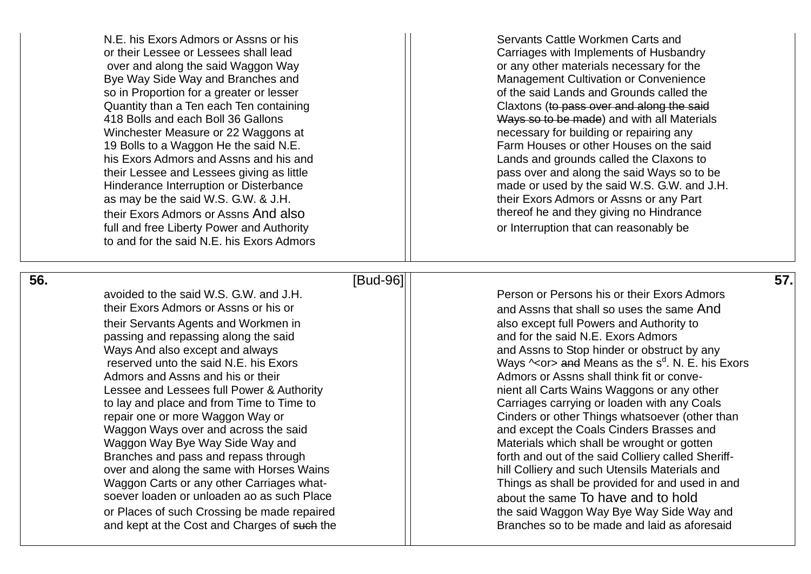over and along the said Waggon Way **or any other materials necessary for the** Bye Way Side Way and Branches and Management Cultivation or Convenience Winchester Measure or 22 Waggons at Network in the necessary for building or repairing any as may be the said W.S. G.W. & J.H. their Exors Admors or Assns or any Part their Exors Admors or Assns And also their thereof he and they giving no Hindrance full and free Liberty Power and Authority **or Interruption that can reasonably be** or Interruption that can reasonably be to and for the said N.E. his Exors Admors

N.E. his Exors Admors or Assns or his Servants Cattle Workmen Carts and or their Lessee or Lessees shall lead Carriages with Implements of Husbandry so in Proportion for a greater or lesser  $\Box$  of the said Lands and Grounds called the Said Lands and Grounds called the said Lands and Grounds called the said Lands and Grounds called the said Claxtons (to pass over and along the said 418 Bolls and each Boll 36 Gallons and the state of the Mays so to be made) and with all Materials 19 Bolls to a Waggon He the said N.E. **Farm Houses of other Houses on the said** his Exors Admors and Assns and his and Lands and Lands and grounds called the Claxons to their Lessee and Lessees giving as little pass over and along the said Ways so to be Hinderance Interruption or Disterbance matches and the made or used by the said W.S. G.W. and J.H.

 **56**

### **.** [Bud -96] **57.**

avoided to the said W.S. G.W. and J.H. Person or Persons his or their Exors Admors their Exors Admors or Assns or his or their Servants Agents and Workmen in also except full Powers and Authority to passing and repassing along the said and for the said N.E. Exors Admors Admors and Assns and his or their  $||$  Admors or Assns shall think fit or conve-Waggon Ways over and across the said and and except the Coals Cinders Brasses and Waggon Way Bye Way Side Way and Materials which shall be wrought or gotten over and along the same with Horses Wains hill Colliery and such Utensils Materials and Waggon Carts or any other Carriages what soever loaden or unloaden ao as such Place  $\vert$   $\vert$  about the same To have and to hold

and Assns that shall so uses the same And Ways And also except and always and Assns to Stop hinder or obstruct by any reserved unto the said N.E. his Exors  $||$  Ways  $\sim$  or and Means as the s<sup>d</sup>. N. E. his Exors Lessee and Lessees full Power & Authority nient all Carts Wains Waggons or any other to lay and place and from Time to Time to Carriages carrying or loaden with any Coals repair one or more Waggon Way or Things whatsoever (other than Branches and pass and repass through **Forth and out of the said Colliery called Sheriff-**Things as shall be provided for and used in and or Places of such Crossing be made repaired the said Waggon Way Bye Way Side Way and and kept at the Cost and Charges of such the **Branches** so to be made and laid as aforesaid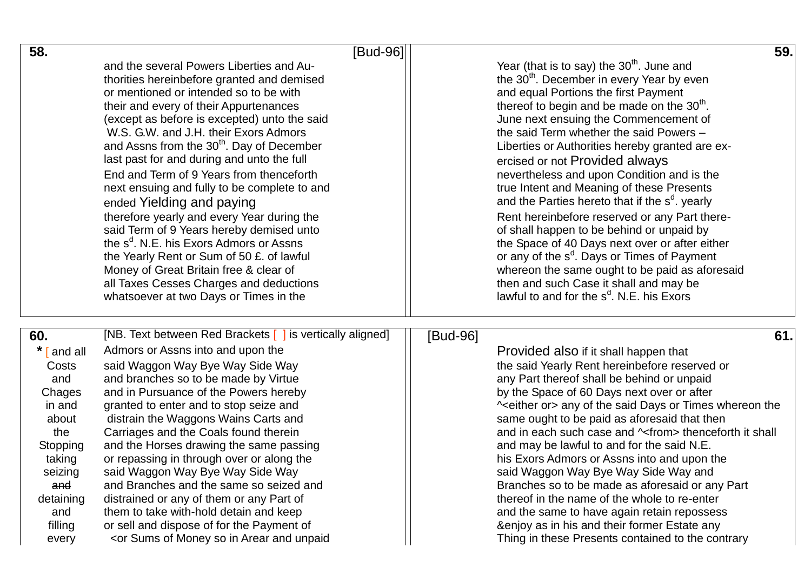| 58.                                                                                                                                                     | [Bud-96]                                                                                                                                                                                                                                                                                                                                                                                                                                                                                                                                                                                                                                                                                                                                                                                                                                                                                                                                                                                                                                                                                                                                                                                                                                                                                                                                                                                                                                                                                                                                                            |          |                                                                                                                                                                                                                                                                                                                                                                                                                                                                                                                                                                                                                                                                                                                                                                                                                                                                                       | 59. |
|---------------------------------------------------------------------------------------------------------------------------------------------------------|---------------------------------------------------------------------------------------------------------------------------------------------------------------------------------------------------------------------------------------------------------------------------------------------------------------------------------------------------------------------------------------------------------------------------------------------------------------------------------------------------------------------------------------------------------------------------------------------------------------------------------------------------------------------------------------------------------------------------------------------------------------------------------------------------------------------------------------------------------------------------------------------------------------------------------------------------------------------------------------------------------------------------------------------------------------------------------------------------------------------------------------------------------------------------------------------------------------------------------------------------------------------------------------------------------------------------------------------------------------------------------------------------------------------------------------------------------------------------------------------------------------------------------------------------------------------|----------|---------------------------------------------------------------------------------------------------------------------------------------------------------------------------------------------------------------------------------------------------------------------------------------------------------------------------------------------------------------------------------------------------------------------------------------------------------------------------------------------------------------------------------------------------------------------------------------------------------------------------------------------------------------------------------------------------------------------------------------------------------------------------------------------------------------------------------------------------------------------------------------|-----|
|                                                                                                                                                         | and the several Powers Liberties and Au-<br>thorities hereinbefore granted and demised<br>or mentioned or intended so to be with<br>their and every of their Appurtenances<br>(except as before is excepted) unto the said<br>W.S. G.W. and J.H. their Exors Admors<br>and Assns from the 30 <sup>th</sup> . Day of December<br>last past for and during and unto the full<br>End and Term of 9 Years from thenceforth<br>next ensuing and fully to be complete to and<br>ended Yielding and paying<br>therefore yearly and every Year during the<br>said Term of 9 Years hereby demised unto<br>the s <sup>d</sup> . N.E. his Exors Admors or Assns<br>the Yearly Rent or Sum of 50 £. of lawful<br>Money of Great Britain free & clear of<br>all Taxes Cesses Charges and deductions<br>whatsoever at two Days or Times in the                                                                                                                                                                                                                                                                                                                                                                                                                                                                                                                                                                                                                                                                                                                                    |          | Year (that is to say) the $30th$ . June and<br>the 30 <sup>th</sup> . December in every Year by even<br>and equal Portions the first Payment<br>thereof to begin and be made on the 30 <sup>th</sup> .<br>June next ensuing the Commencement of<br>the said Term whether the said Powers -<br>Liberties or Authorities hereby granted are ex-<br>ercised or not Provided always<br>nevertheless and upon Condition and is the<br>true Intent and Meaning of these Presents<br>and the Parties hereto that if the $sd$ . yearly<br>Rent hereinbefore reserved or any Part there-<br>of shall happen to be behind or unpaid by<br>the Space of 40 Days next over or after either<br>or any of the s <sup>d</sup> . Days or Times of Payment<br>whereon the same ought to be paid as aforesaid<br>then and such Case it shall and may be<br>lawful to and for the $s^d$ . N.E. his Exors |     |
| 60.<br>*<br>and all<br>Costs<br>and<br>Chages<br>in and<br>about<br>the<br>Stopping<br>taking<br>seizing<br>and<br>detaining<br>and<br>filling<br>every | [NB. Text between Red Brackets [ ] is vertically aligned]<br>Admors or Assns into and upon the<br>said Waggon Way Bye Way Side Way<br>and branches so to be made by Virtue<br>and in Pursuance of the Powers hereby<br>granted to enter and to stop seize and<br>distrain the Waggons Wains Carts and<br>Carriages and the Coals found therein<br>and the Horses drawing the same passing<br>or repassing in through over or along the<br>said Waggon Way Bye Way Side Way<br>and Branches and the same so seized and<br>distrained or any of them or any Part of<br>them to take with-hold detain and keep<br>or sell and dispose of for the Payment of<br><or and="" arear="" in="" money="" of="" so="" sums="" th="" unpaid<=""><th>[Bud-96]</th><th>Provided also if it shall happen that<br/>the said Yearly Rent hereinbefore reserved or<br/>any Part thereof shall be behind or unpaid<br/>by the Space of 60 Days next over or after<br/>^<either or=""> any of the said Days or Times whereon the<br/>same ought to be paid as aforesaid that then<br/>and in each such case and ~ from &gt; thenceforth it shall<br/>and may be lawful to and for the said N.E.<br/>his Exors Admors or Assns into and upon the<br/>said Waggon Way Bye Way Side Way and<br/>Branches so to be made as aforesaid or any Part<br/>thereof in the name of the whole to re-enter<br/>and the same to have again retain repossess<br/>&amp;enjoy as in his and their former Estate any<br/>Thing in these Presents contained to the contrary</either></th><th>61.</th></or> | [Bud-96] | Provided also if it shall happen that<br>the said Yearly Rent hereinbefore reserved or<br>any Part thereof shall be behind or unpaid<br>by the Space of 60 Days next over or after<br>^ <either or=""> any of the said Days or Times whereon the<br/>same ought to be paid as aforesaid that then<br/>and in each such case and ~ from &gt; thenceforth it shall<br/>and may be lawful to and for the said N.E.<br/>his Exors Admors or Assns into and upon the<br/>said Waggon Way Bye Way Side Way and<br/>Branches so to be made as aforesaid or any Part<br/>thereof in the name of the whole to re-enter<br/>and the same to have again retain repossess<br/>&amp;enjoy as in his and their former Estate any<br/>Thing in these Presents contained to the contrary</either>                                                                                                     | 61. |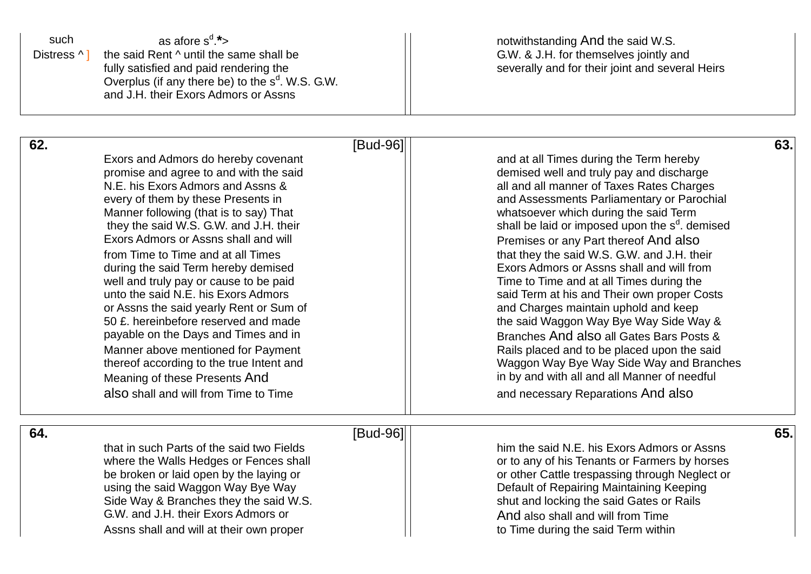| such<br>Distress ^ 1 | as afore $s^d$ .*><br>the said Rent ^ until the same shall be<br>fully satisfied and paid rendering the<br>Overplus (if any there be) to the $s^d$ . W.S. G.W.<br>and J.H. their Exors Admors or Assns                                                                                                                                                                                                                                                                                                                                                                                                                                                                                                                                    |          | notwithstanding And the said W.S.<br>G.W. & J.H. for themselves jointly and<br>severally and for their joint and several Heirs                                                                                                                                                                                                                                                                                                                                                                                                                                                                                                                                                                                                                                                                                                       |     |
|----------------------|-------------------------------------------------------------------------------------------------------------------------------------------------------------------------------------------------------------------------------------------------------------------------------------------------------------------------------------------------------------------------------------------------------------------------------------------------------------------------------------------------------------------------------------------------------------------------------------------------------------------------------------------------------------------------------------------------------------------------------------------|----------|--------------------------------------------------------------------------------------------------------------------------------------------------------------------------------------------------------------------------------------------------------------------------------------------------------------------------------------------------------------------------------------------------------------------------------------------------------------------------------------------------------------------------------------------------------------------------------------------------------------------------------------------------------------------------------------------------------------------------------------------------------------------------------------------------------------------------------------|-----|
| 62.                  | Exors and Admors do hereby covenant<br>promise and agree to and with the said<br>N.E. his Exors Admors and Assns &<br>every of them by these Presents in<br>Manner following (that is to say) That<br>they the said W.S. G.W. and J.H. their<br>Exors Admors or Assns shall and will<br>from Time to Time and at all Times<br>during the said Term hereby demised<br>well and truly pay or cause to be paid<br>unto the said N.E. his Exors Admors<br>or Assns the said yearly Rent or Sum of<br>50 £. hereinbefore reserved and made<br>payable on the Days and Times and in<br>Manner above mentioned for Payment<br>thereof according to the true Intent and<br>Meaning of these Presents And<br>also shall and will from Time to Time | [Bud-96] | and at all Times during the Term hereby<br>demised well and truly pay and discharge<br>all and all manner of Taxes Rates Charges<br>and Assessments Parliamentary or Parochial<br>whatsoever which during the said Term<br>shall be laid or imposed upon the s <sup>d</sup> . demised<br>Premises or any Part thereof And also<br>that they the said W.S. G.W. and J.H. their<br>Exors Admors or Assns shall and will from<br>Time to Time and at all Times during the<br>said Term at his and Their own proper Costs<br>and Charges maintain uphold and keep<br>the said Waggon Way Bye Way Side Way &<br>Branches And also all Gates Bars Posts &<br>Rails placed and to be placed upon the said<br>Waggon Way Bye Way Side Way and Branches<br>in by and with all and all Manner of needful<br>and necessary Reparations And also | 63. |
| 64.                  | that in such Parts of the said two Fields<br>where the Walls Hedges or Fences shall<br>be broken or laid open by the laying or<br>using the said Waggon Way Bye Way<br>Side Way & Branches they the said W.S.<br>G.W. and J.H. their Exors Admors or<br>Assns shall and will at their own proper                                                                                                                                                                                                                                                                                                                                                                                                                                          | [Bud-96] | him the said N.E. his Exors Admors or Assns<br>or to any of his Tenants or Farmers by horses<br>or other Cattle trespassing through Neglect or<br>Default of Repairing Maintaining Keeping<br>shut and locking the said Gates or Rails<br>And also shall and will from Time<br>to Time during the said Term within                                                                                                                                                                                                                                                                                                                                                                                                                                                                                                                   | 65. |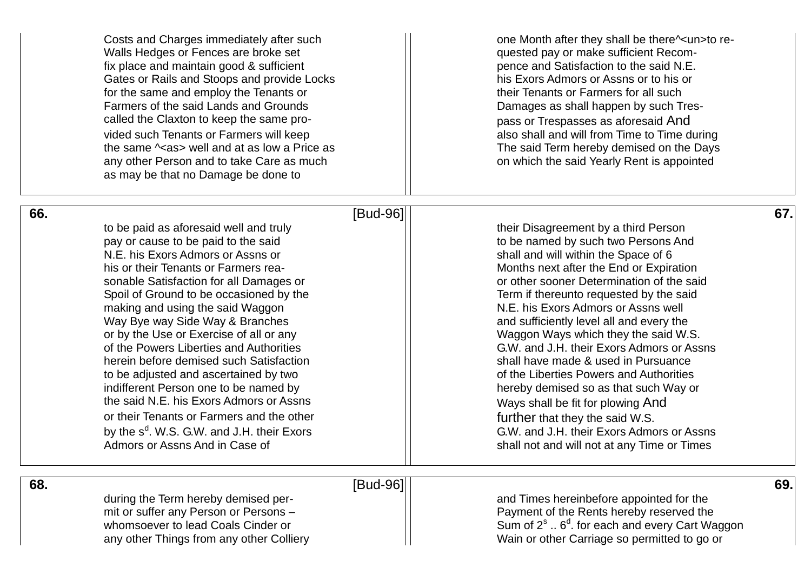|     | Costs and Charges immediately after such<br>Walls Hedges or Fences are broke set<br>fix place and maintain good & sufficient<br>Gates or Rails and Stoops and provide Locks<br>for the same and employ the Tenants or<br>Farmers of the said Lands and Grounds<br>called the Claxton to keep the same pro-<br>vided such Tenants or Farmers will keep<br>the same $\sim$ as > well and at as low a Price as<br>any other Person and to take Care as much<br>as may be that no Damage be done to                                                                                                                                                                                                                                | one Month after they shall be there^ <un>to re-<br/>quested pay or make sufficient Recom-<br/>pence and Satisfaction to the said N.E.<br/>his Exors Admors or Assns or to his or<br/>their Tenants or Farmers for all such<br/>Damages as shall happen by such Tres-<br/>pass or Trespasses as aforesaid And<br/>also shall and will from Time to Time during<br/>The said Term hereby demised on the Days<br/>on which the said Yearly Rent is appointed</un>                                                                                                                                                                                                                                                                |     |
|-----|--------------------------------------------------------------------------------------------------------------------------------------------------------------------------------------------------------------------------------------------------------------------------------------------------------------------------------------------------------------------------------------------------------------------------------------------------------------------------------------------------------------------------------------------------------------------------------------------------------------------------------------------------------------------------------------------------------------------------------|-------------------------------------------------------------------------------------------------------------------------------------------------------------------------------------------------------------------------------------------------------------------------------------------------------------------------------------------------------------------------------------------------------------------------------------------------------------------------------------------------------------------------------------------------------------------------------------------------------------------------------------------------------------------------------------------------------------------------------|-----|
| 66. | [Bud-96]                                                                                                                                                                                                                                                                                                                                                                                                                                                                                                                                                                                                                                                                                                                       |                                                                                                                                                                                                                                                                                                                                                                                                                                                                                                                                                                                                                                                                                                                               | 67. |
|     | to be paid as aforesaid well and truly<br>pay or cause to be paid to the said<br>N.E. his Exors Admors or Assns or<br>his or their Tenants or Farmers rea-<br>sonable Satisfaction for all Damages or<br>Spoil of Ground to be occasioned by the<br>making and using the said Waggon<br>Way Bye way Side Way & Branches<br>or by the Use or Exercise of all or any<br>of the Powers Liberties and Authorities<br>herein before demised such Satisfaction<br>to be adjusted and ascertained by two<br>indifferent Person one to be named by<br>the said N.E. his Exors Admors or Assns<br>or their Tenants or Farmers and the other<br>by the s <sup>d</sup> . W.S. G.W. and J.H. their Exors<br>Admors or Assns And in Case of | their Disagreement by a third Person<br>to be named by such two Persons And<br>shall and will within the Space of 6<br>Months next after the End or Expiration<br>or other sooner Determination of the said<br>Term if thereunto requested by the said<br>N.E. his Exors Admors or Assns well<br>and sufficiently level all and every the<br>Waggon Ways which they the said W.S.<br>G.W. and J.H. their Exors Admors or Assns<br>shall have made & used in Pursuance<br>of the Liberties Powers and Authorities<br>hereby demised so as that such Way or<br>Ways shall be fit for plowing And<br>further that they the said W.S.<br>G.W. and J.H. their Exors Admors or Assns<br>shall not and will not at any Time or Times |     |
| 68. | [Bud-96]                                                                                                                                                                                                                                                                                                                                                                                                                                                                                                                                                                                                                                                                                                                       |                                                                                                                                                                                                                                                                                                                                                                                                                                                                                                                                                                                                                                                                                                                               | 69. |
|     | during the Term hereby demised per-<br>mit or suffer any Person or Persons -                                                                                                                                                                                                                                                                                                                                                                                                                                                                                                                                                                                                                                                   | and Times hereinbefore appointed for the<br>Payment of the Rents hereby reserved the                                                                                                                                                                                                                                                                                                                                                                                                                                                                                                                                                                                                                                          |     |
|     | whomsoever to lead Coals Cinder or                                                                                                                                                                                                                                                                                                                                                                                                                                                                                                                                                                                                                                                                                             | Sum of $2^s \dots 6^d$ . for each and every Cart Waggon                                                                                                                                                                                                                                                                                                                                                                                                                                                                                                                                                                                                                                                                       |     |
|     | any other Things from any other Colliery                                                                                                                                                                                                                                                                                                                                                                                                                                                                                                                                                                                                                                                                                       | Wain or other Carriage so permitted to go or                                                                                                                                                                                                                                                                                                                                                                                                                                                                                                                                                                                                                                                                                  |     |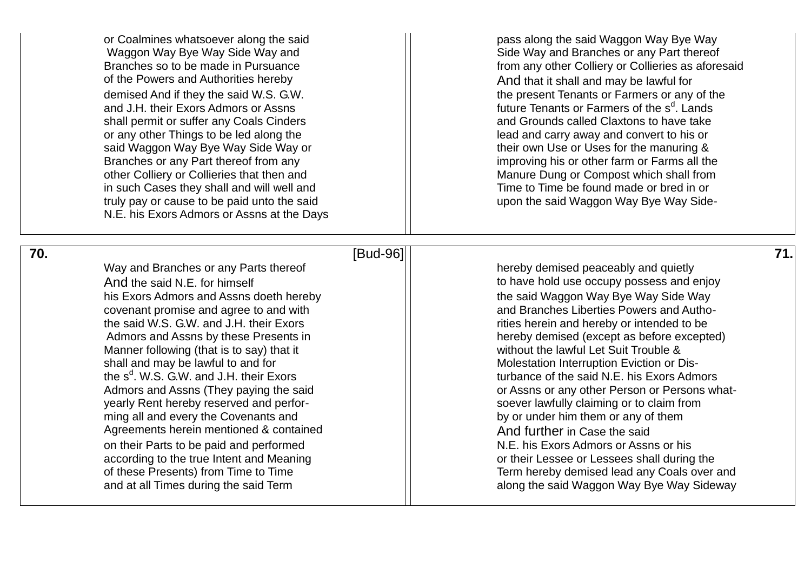of the Powers and Authorities hereby  $\vert$  And that it shall and may be lawful for and J.H. their Exors Admors or Assns shall permit or suffer any Coals Cinders and Grounds called Claxtons to have take or any other Things to be led along the lead and carry away and convert to his or said Waggon Way Bye Way Side Way or the said Waggon Use or Uses for the manuring & in such Cases they shall and will well and Time to Time to Time be found made or bred in or truly pay or cause to be paid unto the said ware to the said Waggon Way Bye Way Side-N.E. his Exors Admors or Assns at the Days

 **70**

**.** [Bud Way and Branches or any Parts thereof hereby demised peaceably and quietly his Exors Admors and Assns doeth hereby the said Waggon Way Bye Way Side Way covenant promise and agree to and with the said W.S. G.W. and J.H. their Exors **rities herein and hereby or intended to be** Manner following (that is to say) that it  $\lvert \rvert$  without the lawful Let Suit Trouble & shall and may be lawful to and for  $\hskip1cm \vert \hskip1cm \vert$  Molestation Interruption Eviction or Disthe s<sup>d</sup> yearly Rent hereby reserved and perfor ming all and every the Covenants and **by or under him them or any of them** Agreements herein mentioned & contained And Further in Case the said on their Parts to be paid and performed  $\vert$  N.E. his Exors Admors or Assns or his according to the true Intent and Meaning and  $\vert$  or their Lessee or Lessees shall during the

or Coalmines whatsoever along the said pass along the said Waggon Way Bye Way Waggon Way Bye Way Side Way and New Summary Side Way and Branches or any Part thereof Branches so to be made in Pursuance **From any other Colliery or Collieries** as aforesaid demised And if they the said W.S. G.W. the present Tenants or Farmers or any of the <sup>d</sup>. Lands Branches or any Part thereof from any improving his or other farm or Farms all the other Colliery or Collieries that then and Manure Dung or Compost which shall from

And the said N.E. for himself to have hold use occupy possess and enjoy and Branches Liberties Powers and Autho-Admors and Assns by these Presents in hereby demised (except as before excepted) turbance of the said N.E. his Exors Admors Admors and Assns (They paying the said **Active 2018) Active Service Control** or Assns or any other Person or Persons whatsoever lawfully claiming or to claim from of these Presents) from Time to Time Term is a set of these Presents) from Time to Time and at all Times during the said Term and along the said Waggon Way Bye Way Sideway

# -96] **71.**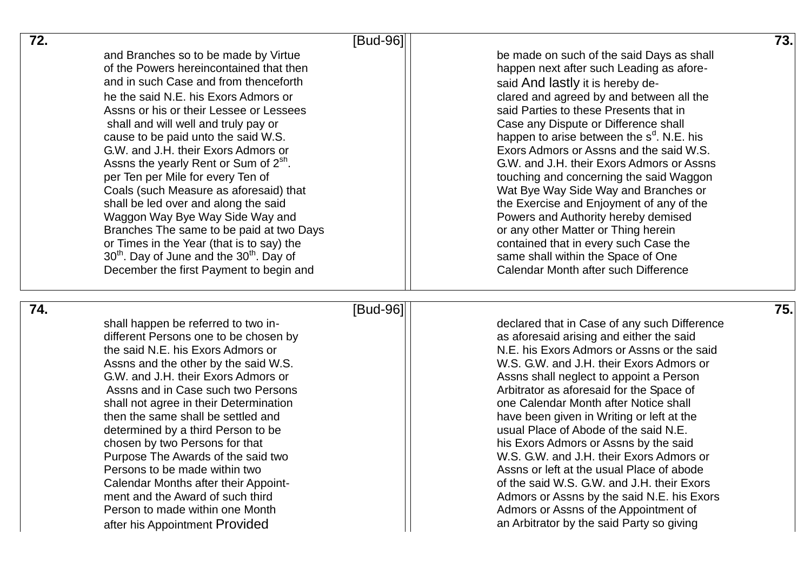| 72. | [Bud-96]                                                                     |                                                                                    | 73. |
|-----|------------------------------------------------------------------------------|------------------------------------------------------------------------------------|-----|
|     | and Branches so to be made by Virtue                                         | be made on such of the said Days as shall                                          |     |
|     | of the Powers hereincontained that then                                      | happen next after such Leading as afore-                                           |     |
|     | and in such Case and from thenceforth                                        | said And lastly it is hereby de-                                                   |     |
|     | he the said N.E. his Exors Admors or                                         | clared and agreed by and between all the                                           |     |
|     | Assns or his or their Lessee or Lessees                                      | said Parties to these Presents that in                                             |     |
|     | shall and will well and truly pay or                                         | Case any Dispute or Difference shall                                               |     |
|     | cause to be paid unto the said W.S.                                          | happen to arise between the $sd$ . N.E. his                                        |     |
|     | G.W. and J.H. their Exors Admors or                                          | Exors Admors or Assns and the said W.S.                                            |     |
|     | Assns the yearly Rent or Sum of 2 <sup>sh</sup> .                            | G.W. and J.H. their Exors Admors or Assns                                          |     |
|     | per Ten per Mile for every Ten of                                            | touching and concerning the said Waggon                                            |     |
|     | Coals (such Measure as aforesaid) that                                       | Wat Bye Way Side Way and Branches or                                               |     |
|     | shall be led over and along the said                                         | the Exercise and Enjoyment of any of the                                           |     |
|     | Waggon Way Bye Way Side Way and                                              | Powers and Authority hereby demised                                                |     |
|     | Branches The same to be paid at two Days                                     | or any other Matter or Thing herein                                                |     |
|     | or Times in the Year (that is to say) the                                    | contained that in every such Case the                                              |     |
|     | 30 <sup>th</sup> . Day of June and the 30 <sup>th</sup> . Day of             | same shall within the Space of One                                                 |     |
|     | December the first Payment to begin and                                      | Calendar Month after such Difference                                               |     |
| 74. | [Bud-96]                                                                     |                                                                                    | 75. |
|     | shall happen be referred to two in-                                          | declared that in Case of any such Difference                                       |     |
|     | different Persons one to be chosen by                                        | as aforesaid arising and either the said                                           |     |
|     | the said N.E. his Exors Admors or                                            | N.E. his Exors Admors or Assns or the said                                         |     |
|     | Assns and the other by the said W.S.                                         | W.S. G.W. and J.H. their Exors Admors or                                           |     |
|     |                                                                              |                                                                                    |     |
|     |                                                                              |                                                                                    |     |
|     | G.W. and J.H. their Exors Admors or<br>Assns and in Case such two Persons    | Assns shall neglect to appoint a Person                                            |     |
|     |                                                                              | Arbitrator as aforesaid for the Space of<br>one Calendar Month after Notice shall  |     |
|     | shall not agree in their Determination<br>then the same shall be settled and | have been given in Writing or left at the                                          |     |
|     | determined by a third Person to be                                           | usual Place of Abode of the said N.E.                                              |     |
|     | chosen by two Persons for that                                               | his Exors Admors or Assns by the said                                              |     |
|     | Purpose The Awards of the said two                                           | W.S. G.W. and J.H. their Exors Admors or                                           |     |
|     | Persons to be made within two                                                | Assns or left at the usual Place of abode                                          |     |
|     | Calendar Months after their Appoint-                                         | of the said W.S. G.W. and J.H. their Exors                                         |     |
|     | ment and the Award of such third                                             | Admors or Assns by the said N.E. his Exors                                         |     |
|     | Person to made within one Month                                              | Admors or Assns of the Appointment of<br>an Arbitrator by the said Party so giving |     |